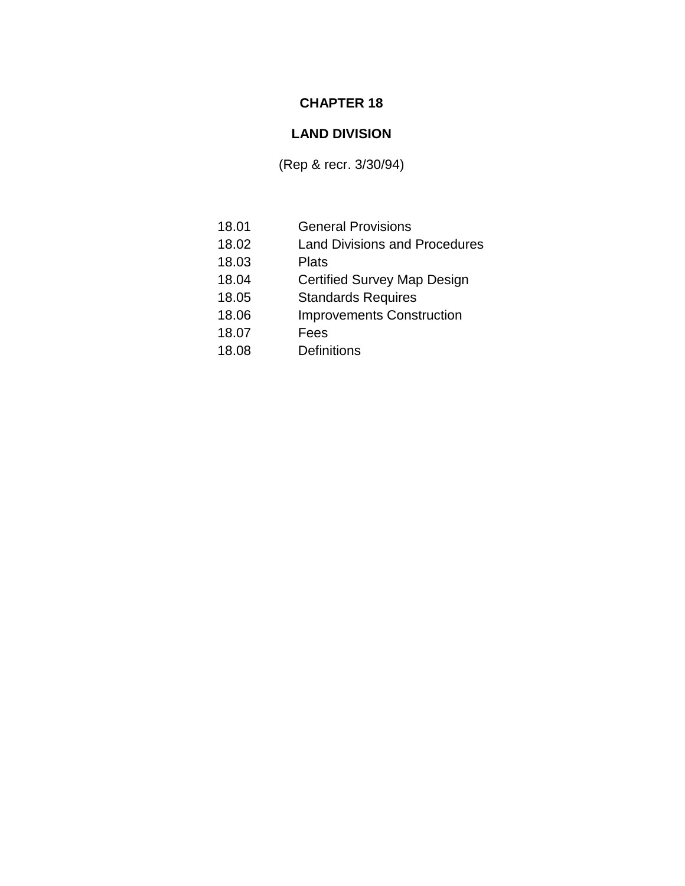## **CHAPTER 18**

# **LAND DIVISION**

(Rep & recr. 3/30/94)

- 18.01 General Provisions 18.02 Land Divisions and Procedures 18.03 Plats
- 18.04 Certified Survey Map Design
- 18.05 Standards Requires
- 18.06 Improvements Construction
- 18.07 Fees
- 18.08 Definitions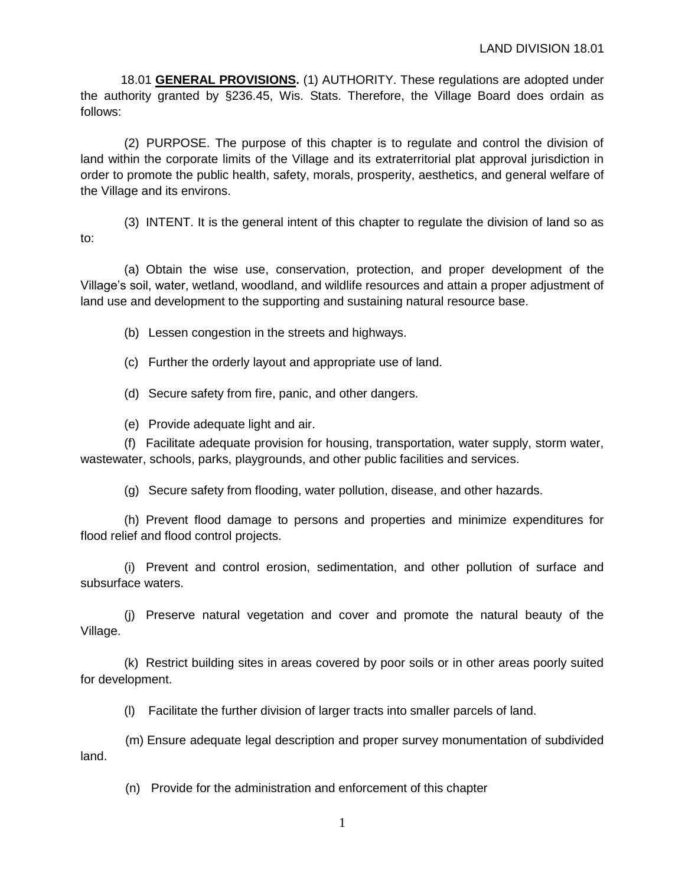18.01 **GENERAL PROVISIONS.** (1) AUTHORITY. These regulations are adopted under the authority granted by §236.45, Wis. Stats. Therefore, the Village Board does ordain as follows:

(2) PURPOSE. The purpose of this chapter is to regulate and control the division of land within the corporate limits of the Village and its extraterritorial plat approval jurisdiction in order to promote the public health, safety, morals, prosperity, aesthetics, and general welfare of the Village and its environs.

(3) INTENT. It is the general intent of this chapter to regulate the division of land so as to:

(a) Obtain the wise use, conservation, protection, and proper development of the Village's soil, water, wetland, woodland, and wildlife resources and attain a proper adjustment of land use and development to the supporting and sustaining natural resource base.

(b) Lessen congestion in the streets and highways.

(c) Further the orderly layout and appropriate use of land.

(d) Secure safety from fire, panic, and other dangers.

(e) Provide adequate light and air.

(f) Facilitate adequate provision for housing, transportation, water supply, storm water, wastewater, schools, parks, playgrounds, and other public facilities and services.

(g) Secure safety from flooding, water pollution, disease, and other hazards.

(h) Prevent flood damage to persons and properties and minimize expenditures for flood relief and flood control projects.

(i) Prevent and control erosion, sedimentation, and other pollution of surface and subsurface waters.

(j) Preserve natural vegetation and cover and promote the natural beauty of the Village.

(k) Restrict building sites in areas covered by poor soils or in other areas poorly suited for development.

(l) Facilitate the further division of larger tracts into smaller parcels of land.

(m) Ensure adequate legal description and proper survey monumentation of subdivided land.

(n) Provide for the administration and enforcement of this chapter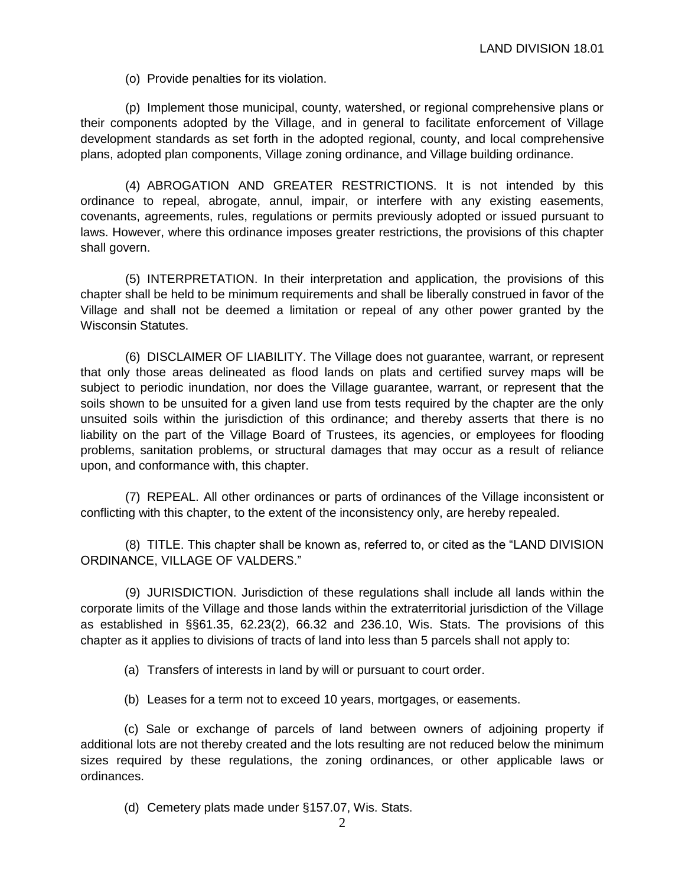(o) Provide penalties for its violation.

(p) Implement those municipal, county, watershed, or regional comprehensive plans or their components adopted by the Village, and in general to facilitate enforcement of Village development standards as set forth in the adopted regional, county, and local comprehensive plans, adopted plan components, Village zoning ordinance, and Village building ordinance.

(4) ABROGATION AND GREATER RESTRICTIONS. It is not intended by this ordinance to repeal, abrogate, annul, impair, or interfere with any existing easements, covenants, agreements, rules, regulations or permits previously adopted or issued pursuant to laws. However, where this ordinance imposes greater restrictions, the provisions of this chapter shall govern.

(5) INTERPRETATION. In their interpretation and application, the provisions of this chapter shall be held to be minimum requirements and shall be liberally construed in favor of the Village and shall not be deemed a limitation or repeal of any other power granted by the Wisconsin Statutes.

(6) DISCLAIMER OF LIABILITY. The Village does not guarantee, warrant, or represent that only those areas delineated as flood lands on plats and certified survey maps will be subject to periodic inundation, nor does the Village guarantee, warrant, or represent that the soils shown to be unsuited for a given land use from tests required by the chapter are the only unsuited soils within the jurisdiction of this ordinance; and thereby asserts that there is no liability on the part of the Village Board of Trustees, its agencies, or employees for flooding problems, sanitation problems, or structural damages that may occur as a result of reliance upon, and conformance with, this chapter.

(7) REPEAL. All other ordinances or parts of ordinances of the Village inconsistent or conflicting with this chapter, to the extent of the inconsistency only, are hereby repealed.

(8) TITLE. This chapter shall be known as, referred to, or cited as the "LAND DIVISION ORDINANCE, VILLAGE OF VALDERS."

(9) JURISDICTION. Jurisdiction of these regulations shall include all lands within the corporate limits of the Village and those lands within the extraterritorial jurisdiction of the Village as established in §§61.35, 62.23(2), 66.32 and 236.10, Wis. Stats. The provisions of this chapter as it applies to divisions of tracts of land into less than 5 parcels shall not apply to:

(a) Transfers of interests in land by will or pursuant to court order.

(b) Leases for a term not to exceed 10 years, mortgages, or easements.

(c) Sale or exchange of parcels of land between owners of adjoining property if additional lots are not thereby created and the lots resulting are not reduced below the minimum sizes required by these regulations, the zoning ordinances, or other applicable laws or ordinances.

(d) Cemetery plats made under §157.07, Wis. Stats.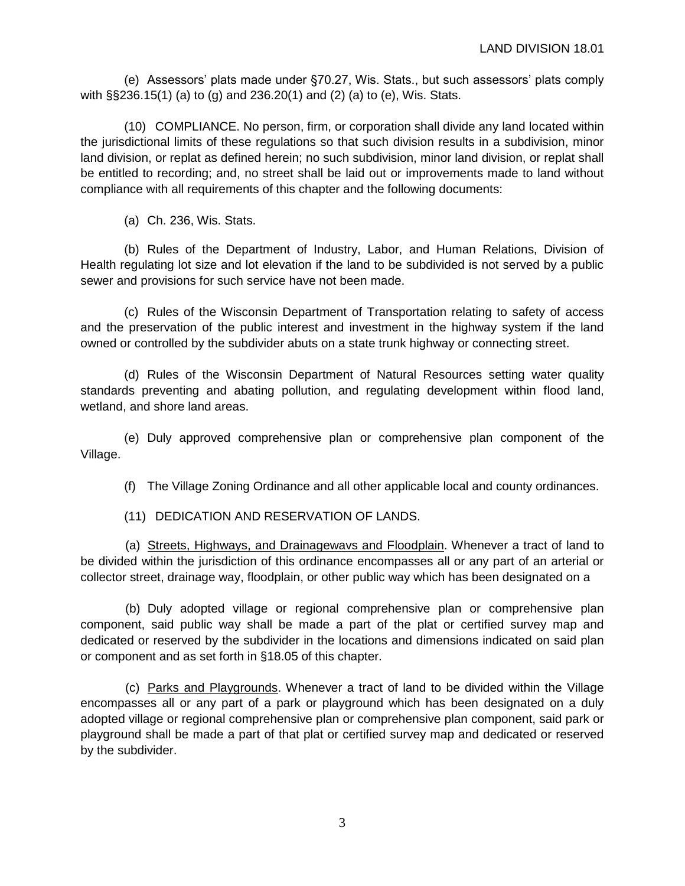(e) Assessors' plats made under §70.27, Wis. Stats., but such assessors' plats comply with §§236.15(1) (a) to (g) and 236.20(1) and (2) (a) to (e), Wis. Stats.

(10) COMPLIANCE. No person, firm, or corporation shall divide any land located within the jurisdictional limits of these regulations so that such division results in a subdivision, minor land division, or replat as defined herein; no such subdivision, minor land division, or replat shall be entitled to recording; and, no street shall be laid out or improvements made to land without compliance with all requirements of this chapter and the following documents:

(a) Ch. 236, Wis. Stats.

(b) Rules of the Department of Industry, Labor, and Human Relations, Division of Health regulating lot size and lot elevation if the land to be subdivided is not served by a public sewer and provisions for such service have not been made.

(c) Rules of the Wisconsin Department of Transportation relating to safety of access and the preservation of the public interest and investment in the highway system if the land owned or controlled by the subdivider abuts on a state trunk highway or connecting street.

(d) Rules of the Wisconsin Department of Natural Resources setting water quality standards preventing and abating pollution, and regulating development within flood land, wetland, and shore land areas.

(e) Duly approved comprehensive plan or comprehensive plan component of the Village.

(f) The Village Zoning Ordinance and all other applicable local and county ordinances.

(11) DEDICATION AND RESERVATION OF LANDS.

(a) Streets, Highways, and Drainagewavs and Floodplain. Whenever a tract of land to be divided within the jurisdiction of this ordinance encompasses all or any part of an arterial or collector street, drainage way, floodplain, or other public way which has been designated on a

(b) Duly adopted village or regional comprehensive plan or comprehensive plan component, said public way shall be made a part of the plat or certified survey map and dedicated or reserved by the subdivider in the locations and dimensions indicated on said plan or component and as set forth in §18.05 of this chapter.

(c) Parks and Playgrounds. Whenever a tract of land to be divided within the Village encompasses all or any part of a park or playground which has been designated on a duly adopted village or regional comprehensive plan or comprehensive plan component, said park or playground shall be made a part of that plat or certified survey map and dedicated or reserved by the subdivider.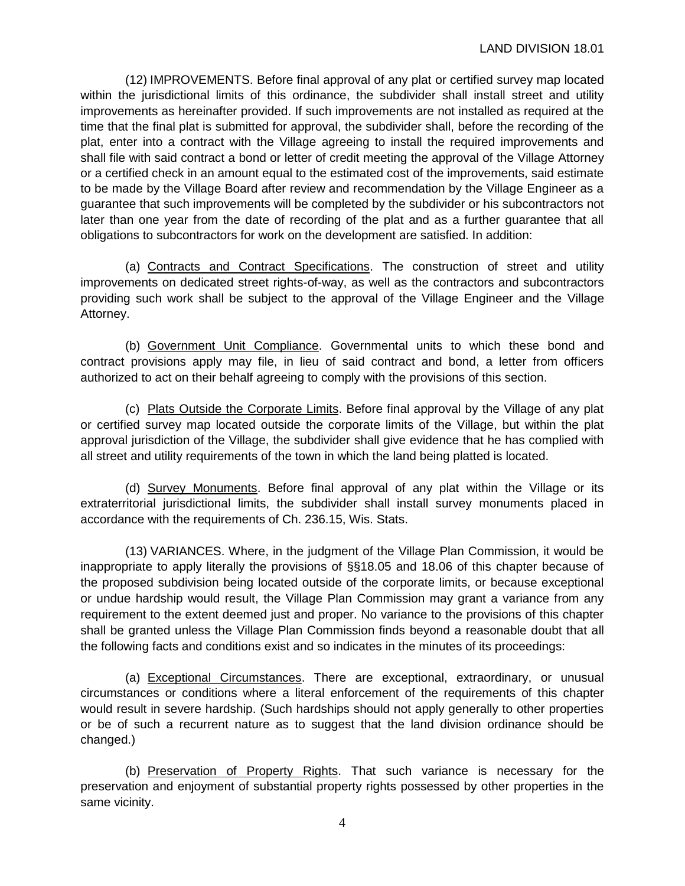(12) IMPROVEMENTS. Before final approval of any plat or certified survey map located within the jurisdictional limits of this ordinance, the subdivider shall install street and utility improvements as hereinafter provided. If such improvements are not installed as required at the time that the final plat is submitted for approval, the subdivider shall, before the recording of the plat, enter into a contract with the Village agreeing to install the required improvements and shall file with said contract a bond or letter of credit meeting the approval of the Village Attorney or a certified check in an amount equal to the estimated cost of the improvements, said estimate to be made by the Village Board after review and recommendation by the Village Engineer as a guarantee that such improvements will be completed by the subdivider or his subcontractors not later than one year from the date of recording of the plat and as a further guarantee that all obligations to subcontractors for work on the development are satisfied. In addition:

(a) Contracts and Contract Specifications. The construction of street and utility improvements on dedicated street rights-of-way, as well as the contractors and subcontractors providing such work shall be subject to the approval of the Village Engineer and the Village Attorney.

(b) Government Unit Compliance. Governmental units to which these bond and contract provisions apply may file, in lieu of said contract and bond, a letter from officers authorized to act on their behalf agreeing to comply with the provisions of this section.

(c) Plats Outside the Corporate Limits. Before final approval by the Village of any plat or certified survey map located outside the corporate limits of the Village, but within the plat approval jurisdiction of the Village, the subdivider shall give evidence that he has complied with all street and utility requirements of the town in which the land being platted is located.

(d) Survey Monuments. Before final approval of any plat within the Village or its extraterritorial jurisdictional limits, the subdivider shall install survey monuments placed in accordance with the requirements of Ch. 236.15, Wis. Stats.

(13) VARIANCES. Where, in the judgment of the Village Plan Commission, it would be inappropriate to apply literally the provisions of §§18.05 and 18.06 of this chapter because of the proposed subdivision being located outside of the corporate limits, or because exceptional or undue hardship would result, the Village Plan Commission may grant a variance from any requirement to the extent deemed just and proper. No variance to the provisions of this chapter shall be granted unless the Village Plan Commission finds beyond a reasonable doubt that all the following facts and conditions exist and so indicates in the minutes of its proceedings:

(a) Exceptional Circumstances. There are exceptional, extraordinary, or unusual circumstances or conditions where a literal enforcement of the requirements of this chapter would result in severe hardship. (Such hardships should not apply generally to other properties or be of such a recurrent nature as to suggest that the land division ordinance should be changed.)

(b) Preservation of Property Rights. That such variance is necessary for the preservation and enjoyment of substantial property rights possessed by other properties in the same vicinity.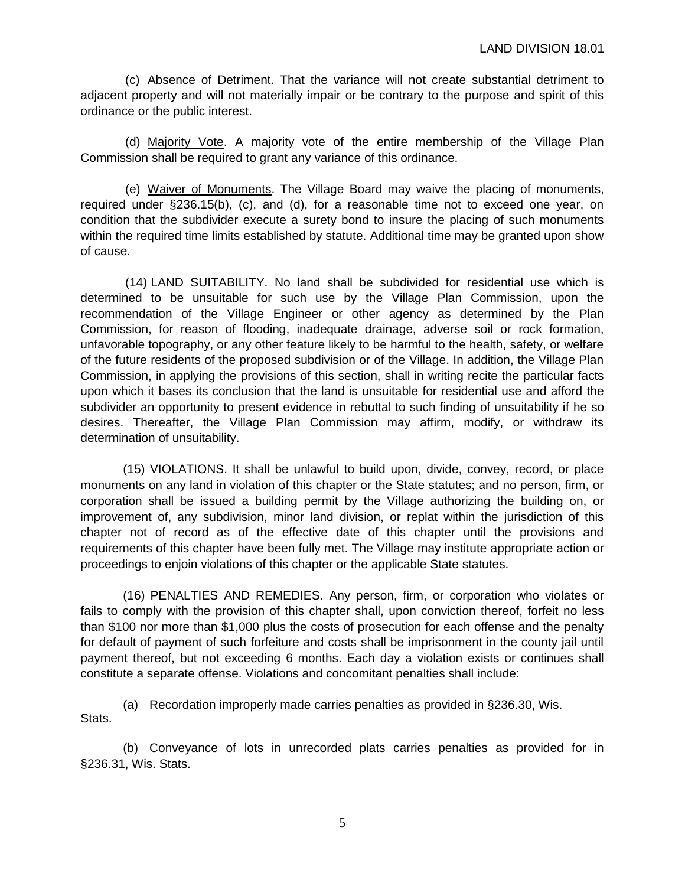(c) Absence of Detriment. That the variance will not create substantial detriment to adjacent property and will not materially impair or be contrary to the purpose and spirit of this ordinance or the public interest.

(d) Majority Vote. A majority vote of the entire membership of the Village Plan Commission shall be required to grant any variance of this ordinance.

(e) Waiver of Monuments. The Village Board may waive the placing of monuments, required under §236.15(b), (c), and (d), for a reasonable time not to exceed one year, on condition that the subdivider execute a surety bond to insure the placing of such monuments within the required time limits established by statute. Additional time may be granted upon show of cause.

(14) LAND SUITABILITY. No land shall be subdivided for residential use which is determined to be unsuitable for such use by the Village Plan Commission, upon the recommendation of the Village Engineer or other agency as determined by the Plan Commission, for reason of flooding, inadequate drainage, adverse soil or rock formation, unfavorable topography, or any other feature likely to be harmful to the health, safety, or welfare of the future residents of the proposed subdivision or of the Village. In addition, the Village Plan Commission, in applying the provisions of this section, shall in writing recite the particular facts upon which it bases its conclusion that the land is unsuitable for residential use and afford the subdivider an opportunity to present evidence in rebuttal to such finding of unsuitability if he so desires. Thereafter, the Village Plan Commission may affirm, modify, or withdraw its determination of unsuitability.

(15) VIOLATIONS. It shall be unlawful to build upon, divide, convey, record, or place monuments on any land in violation of this chapter or the State statutes; and no person, firm, or corporation shall be issued a building permit by the Village authorizing the building on, or improvement of, any subdivision, minor land division, or replat within the jurisdiction of this chapter not of record as of the effective date of this chapter until the provisions and requirements of this chapter have been fully met. The Village may institute appropriate action or proceedings to enjoin violations of this chapter or the applicable State statutes.

(16) PENALTIES AND REMEDIES. Any person, firm, or corporation who violates or fails to comply with the provision of this chapter shall, upon conviction thereof, forfeit no less than \$100 nor more than \$1,000 plus the costs of prosecution for each offense and the penalty for default of payment of such forfeiture and costs shall be imprisonment in the county jail until payment thereof, but not exceeding 6 months. Each day a violation exists or continues shall constitute a separate offense. Violations and concomitant penalties shall include:

(a) Recordation improperly made carries penalties as provided in §236.30, Wis. Stats.

(b) Conveyance of lots in unrecorded plats carries penalties as provided for in §236.31, Wis. Stats.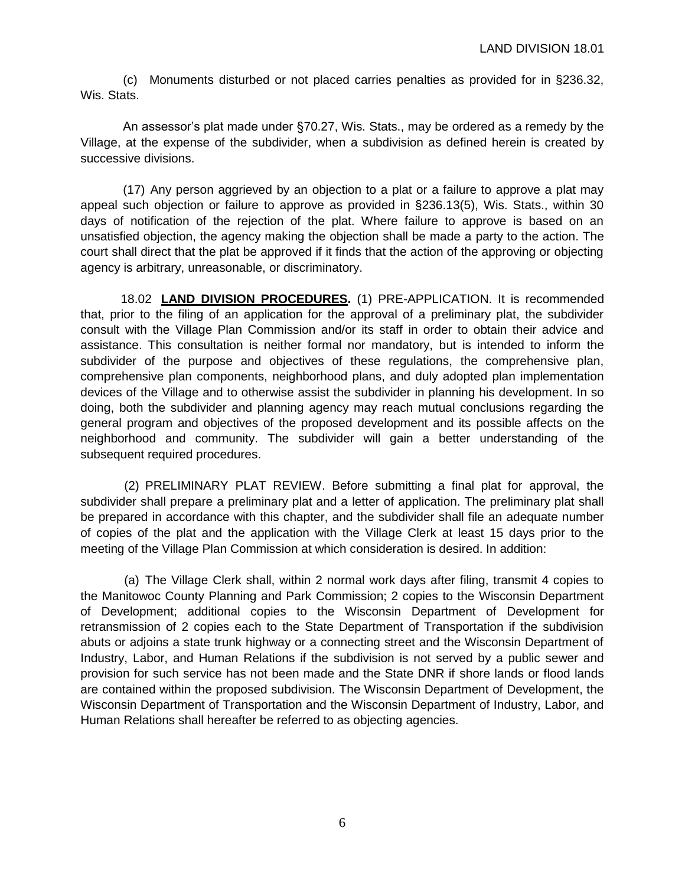(c) Monuments disturbed or not placed carries penalties as provided for in §236.32, Wis. Stats.

An assessor's plat made under §70.27, Wis. Stats., may be ordered as a remedy by the Village, at the expense of the subdivider, when a subdivision as defined herein is created by successive divisions.

(17) Any person aggrieved by an objection to a plat or a failure to approve a plat may appeal such objection or failure to approve as provided in §236.13(5), Wis. Stats., within 30 days of notification of the rejection of the plat. Where failure to approve is based on an unsatisfied objection, the agency making the objection shall be made a party to the action. The court shall direct that the plat be approved if it finds that the action of the approving or objecting agency is arbitrary, unreasonable, or discriminatory.

18.02 **LAND DIVISION PROCEDURES.** (1) PRE-APPLICATION. It is recommended that, prior to the filing of an application for the approval of a preliminary plat, the subdivider consult with the Village Plan Commission and/or its staff in order to obtain their advice and assistance. This consultation is neither formal nor mandatory, but is intended to inform the subdivider of the purpose and objectives of these regulations, the comprehensive plan, comprehensive plan components, neighborhood plans, and duly adopted plan implementation devices of the Village and to otherwise assist the subdivider in planning his development. In so doing, both the subdivider and planning agency may reach mutual conclusions regarding the general program and objectives of the proposed development and its possible affects on the neighborhood and community. The subdivider will gain a better understanding of the subsequent required procedures.

(2) PRELIMINARY PLAT REVIEW. Before submitting a final plat for approval, the subdivider shall prepare a preliminary plat and a letter of application. The preliminary plat shall be prepared in accordance with this chapter, and the subdivider shall file an adequate number of copies of the plat and the application with the Village Clerk at least 15 days prior to the meeting of the Village Plan Commission at which consideration is desired. In addition:

(a) The Village Clerk shall, within 2 normal work days after filing, transmit 4 copies to the Manitowoc County Planning and Park Commission; 2 copies to the Wisconsin Department of Development; additional copies to the Wisconsin Department of Development for retransmission of 2 copies each to the State Department of Transportation if the subdivision abuts or adjoins a state trunk highway or a connecting street and the Wisconsin Department of Industry, Labor, and Human Relations if the subdivision is not served by a public sewer and provision for such service has not been made and the State DNR if shore lands or flood lands are contained within the proposed subdivision. The Wisconsin Department of Development, the Wisconsin Department of Transportation and the Wisconsin Department of Industry, Labor, and Human Relations shall hereafter be referred to as objecting agencies.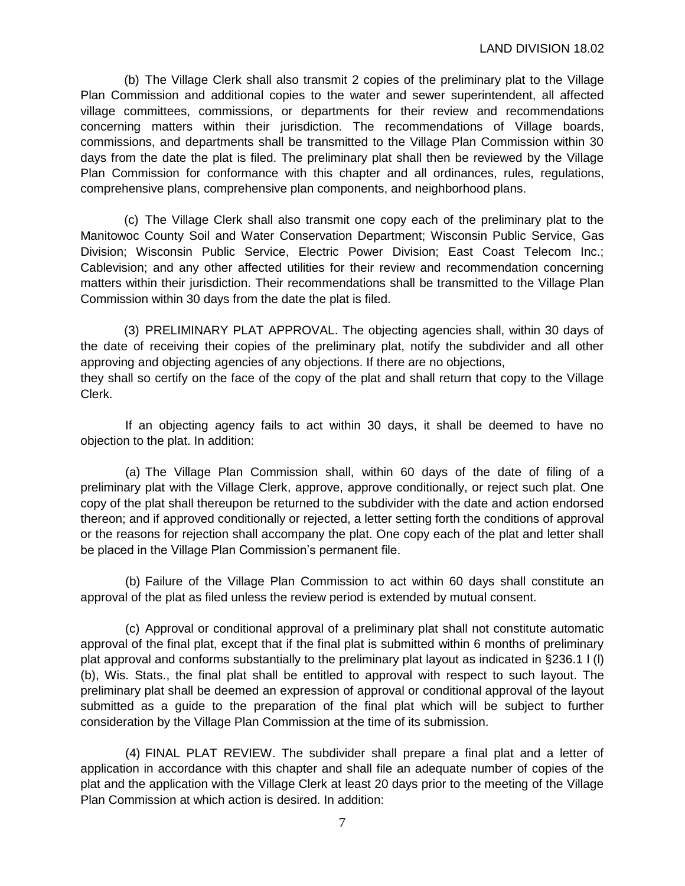(b) The Village Clerk shall also transmit 2 copies of the preliminary plat to the Village Plan Commission and additional copies to the water and sewer superintendent, all affected village committees, commissions, or departments for their review and recommendations concerning matters within their jurisdiction. The recommendations of Village boards, commissions, and departments shall be transmitted to the Village Plan Commission within 30 days from the date the plat is filed. The preliminary plat shall then be reviewed by the Village Plan Commission for conformance with this chapter and all ordinances, rules, regulations, comprehensive plans, comprehensive plan components, and neighborhood plans.

(c) The Village Clerk shall also transmit one copy each of the preliminary plat to the Manitowoc County Soil and Water Conservation Department; Wisconsin Public Service, Gas Division; Wisconsin Public Service, Electric Power Division; East Coast Telecom Inc.; Cablevision; and any other affected utilities for their review and recommendation concerning matters within their jurisdiction. Their recommendations shall be transmitted to the Village Plan Commission within 30 days from the date the plat is filed.

(3) PRELIMINARY PLAT APPROVAL. The objecting agencies shall, within 30 days of the date of receiving their copies of the preliminary plat, notify the subdivider and all other approving and objecting agencies of any objections. If there are no objections, they shall so certify on the face of the copy of the plat and shall return that copy to the Village Clerk.

If an objecting agency fails to act within 30 days, it shall be deemed to have no objection to the plat. In addition:

(a) The Village Plan Commission shall, within 60 days of the date of filing of a preliminary plat with the Village Clerk, approve, approve conditionally, or reject such plat. One copy of the plat shall thereupon be returned to the subdivider with the date and action endorsed thereon; and if approved conditionally or rejected, a letter setting forth the conditions of approval or the reasons for rejection shall accompany the plat. One copy each of the plat and letter shall be placed in the Village Plan Commission's permanent file.

(b) Failure of the Village Plan Commission to act within 60 days shall constitute an approval of the plat as filed unless the review period is extended by mutual consent.

(c) Approval or conditional approval of a preliminary plat shall not constitute automatic approval of the final plat, except that if the final plat is submitted within 6 months of preliminary plat approval and conforms substantially to the preliminary plat layout as indicated in §236.1 l (l) (b), Wis. Stats., the final plat shall be entitled to approval with respect to such layout. The preliminary plat shall be deemed an expression of approval or conditional approval of the layout submitted as a guide to the preparation of the final plat which will be subject to further consideration by the Village Plan Commission at the time of its submission.

(4) FINAL PLAT REVIEW. The subdivider shall prepare a final plat and a letter of application in accordance with this chapter and shall file an adequate number of copies of the plat and the application with the Village Clerk at least 20 days prior to the meeting of the Village Plan Commission at which action is desired. In addition: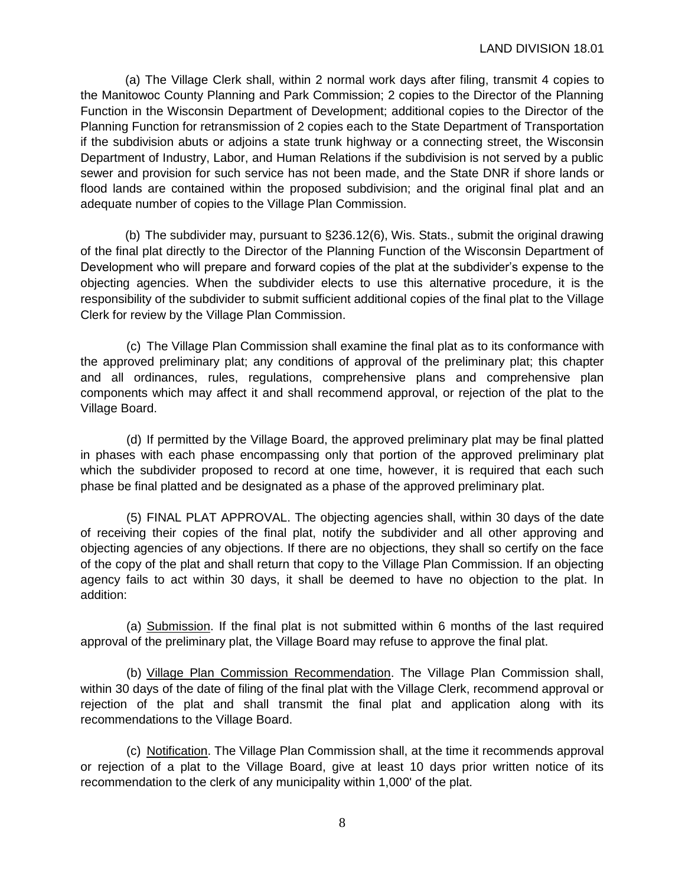(a) The Village Clerk shall, within 2 normal work days after filing, transmit 4 copies to the Manitowoc County Planning and Park Commission; 2 copies to the Director of the Planning Function in the Wisconsin Department of Development; additional copies to the Director of the Planning Function for retransmission of 2 copies each to the State Department of Transportation if the subdivision abuts or adjoins a state trunk highway or a connecting street, the Wisconsin Department of Industry, Labor, and Human Relations if the subdivision is not served by a public sewer and provision for such service has not been made, and the State DNR if shore lands or flood lands are contained within the proposed subdivision; and the original final plat and an adequate number of copies to the Village Plan Commission.

(b) The subdivider may, pursuant to §236.12(6), Wis. Stats., submit the original drawing of the final plat directly to the Director of the Planning Function of the Wisconsin Department of Development who will prepare and forward copies of the plat at the subdivider's expense to the objecting agencies. When the subdivider elects to use this alternative procedure, it is the responsibility of the subdivider to submit sufficient additional copies of the final plat to the Village Clerk for review by the Village Plan Commission.

(c) The Village Plan Commission shall examine the final plat as to its conformance with the approved preliminary plat; any conditions of approval of the preliminary plat; this chapter and all ordinances, rules, regulations, comprehensive plans and comprehensive plan components which may affect it and shall recommend approval, or rejection of the plat to the Village Board.

(d) If permitted by the Village Board, the approved preliminary plat may be final platted in phases with each phase encompassing only that portion of the approved preliminary plat which the subdivider proposed to record at one time, however, it is required that each such phase be final platted and be designated as a phase of the approved preliminary plat.

(5) FINAL PLAT APPROVAL. The objecting agencies shall, within 30 days of the date of receiving their copies of the final plat, notify the subdivider and all other approving and objecting agencies of any objections. If there are no objections, they shall so certify on the face of the copy of the plat and shall return that copy to the Village Plan Commission. If an objecting agency fails to act within 30 days, it shall be deemed to have no objection to the plat. In addition:

(a) Submission. If the final plat is not submitted within 6 months of the last required approval of the preliminary plat, the Village Board may refuse to approve the final plat.

(b) Village Plan Commission Recommendation. The Village Plan Commission shall, within 30 days of the date of filing of the final plat with the Village Clerk, recommend approval or rejection of the plat and shall transmit the final plat and application along with its recommendations to the Village Board.

(c) Notification. The Village Plan Commission shall, at the time it recommends approval or rejection of a plat to the Village Board, give at least 10 days prior written notice of its recommendation to the clerk of any municipality within 1,000' of the plat.

8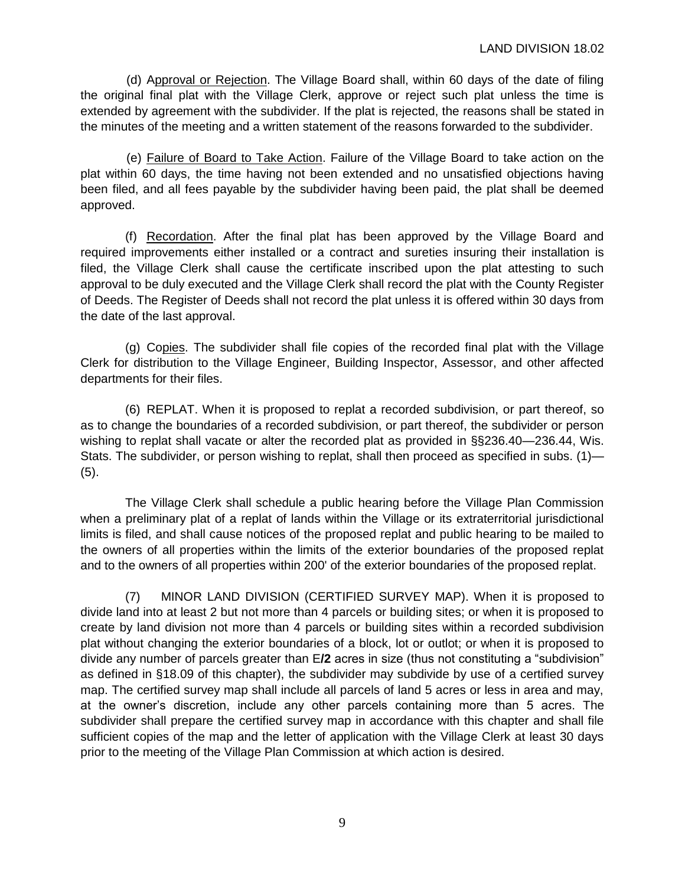(d) Approval or Rejection. The Village Board shall, within 60 days of the date of filing the original final plat with the Village Clerk, approve or reject such plat unless the time is extended by agreement with the subdivider. If the plat is rejected, the reasons shall be stated in the minutes of the meeting and a written statement of the reasons forwarded to the subdivider.

(e) Failure of Board to Take Action. Failure of the Village Board to take action on the plat within 60 days, the time having not been extended and no unsatisfied objections having been filed, and all fees payable by the subdivider having been paid, the plat shall be deemed approved.

(f) Recordation. After the final plat has been approved by the Village Board and required improvements either installed or a contract and sureties insuring their installation is filed, the Village Clerk shall cause the certificate inscribed upon the plat attesting to such approval to be duly executed and the Village Clerk shall record the plat with the County Register of Deeds. The Register of Deeds shall not record the plat unless it is offered within 30 days from the date of the last approval.

(g) Copies. The subdivider shall file copies of the recorded final plat with the Village Clerk for distribution to the Village Engineer, Building Inspector, Assessor, and other affected departments for their files.

(6) REPLAT. When it is proposed to replat a recorded subdivision, or part thereof, so as to change the boundaries of a recorded subdivision, or part thereof, the subdivider or person wishing to replat shall vacate or alter the recorded plat as provided in §§236.40—236.44, Wis. Stats. The subdivider, or person wishing to replat, shall then proceed as specified in subs. (1)— (5).

The Village Clerk shall schedule a public hearing before the Village Plan Commission when a preliminary plat of a replat of lands within the Village or its extraterritorial jurisdictional limits is filed, and shall cause notices of the proposed replat and public hearing to be mailed to the owners of all properties within the limits of the exterior boundaries of the proposed replat and to the owners of all properties within 200' of the exterior boundaries of the proposed replat.

(7) MINOR LAND DIVISION (CERTIFIED SURVEY MAP). When it is proposed to divide land into at least 2 but not more than 4 parcels or building sites; or when it is proposed to create by land division not more than 4 parcels or building sites within a recorded subdivision plat without changing the exterior boundaries of a block, lot or outlot; or when it is proposed to divide any number of parcels greater than E**/2** acres in size (thus not constituting a "subdivision" as defined in §18.09 of this chapter), the subdivider may subdivide by use of a certified survey map. The certified survey map shall include all parcels of land 5 acres or less in area and may, at the owner's discretion, include any other parcels containing more than 5 acres. The subdivider shall prepare the certified survey map in accordance with this chapter and shall file sufficient copies of the map and the letter of application with the Village Clerk at least 30 days prior to the meeting of the Village Plan Commission at which action is desired.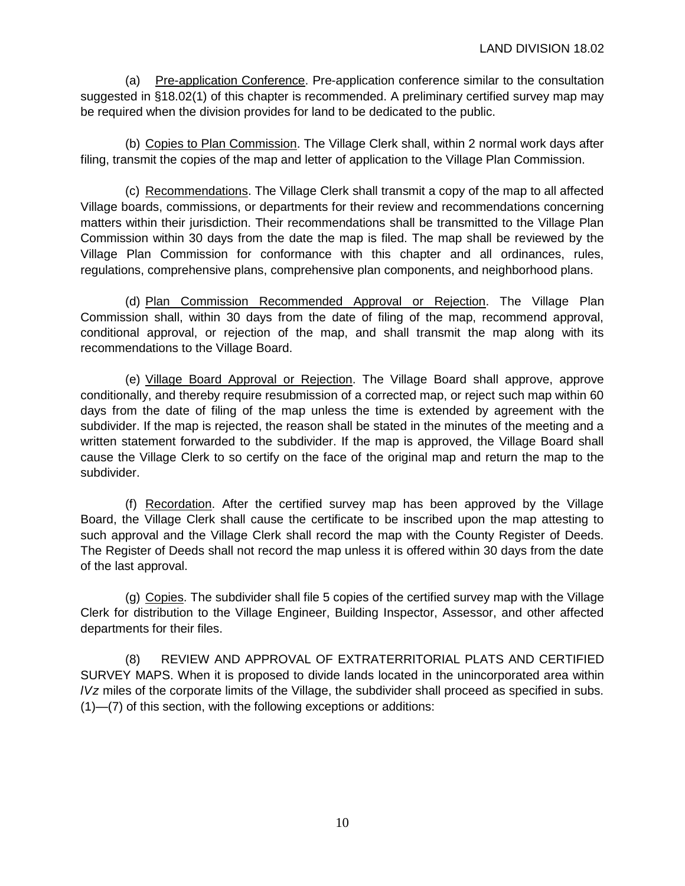(a) Pre-application Conference. Pre-application conference similar to the consultation suggested in §18.02(1) of this chapter is recommended. A preliminary certified survey map may be required when the division provides for land to be dedicated to the public.

(b) Copies to Plan Commission. The Village Clerk shall, within 2 normal work days after filing, transmit the copies of the map and letter of application to the Village Plan Commission.

(c) Recommendations. The Village Clerk shall transmit a copy of the map to all affected Village boards, commissions, or departments for their review and recommendations concerning matters within their jurisdiction. Their recommendations shall be transmitted to the Village Plan Commission within 30 days from the date the map is filed. The map shall be reviewed by the Village Plan Commission for conformance with this chapter and all ordinances, rules, regulations, comprehensive plans, comprehensive plan components, and neighborhood plans.

(d) Plan Commission Recommended Approval or Rejection. The Village Plan Commission shall, within 30 days from the date of filing of the map, recommend approval, conditional approval, or rejection of the map, and shall transmit the map along with its recommendations to the Village Board.

(e) Village Board Approval or Rejection. The Village Board shall approve, approve conditionally, and thereby require resubmission of a corrected map, or reject such map within 60 days from the date of filing of the map unless the time is extended by agreement with the subdivider. If the map is rejected, the reason shall be stated in the minutes of the meeting and a written statement forwarded to the subdivider. If the map is approved, the Village Board shall cause the Village Clerk to so certify on the face of the original map and return the map to the subdivider.

(f) Recordation. After the certified survey map has been approved by the Village Board, the Village Clerk shall cause the certificate to be inscribed upon the map attesting to such approval and the Village Clerk shall record the map with the County Register of Deeds. The Register of Deeds shall not record the map unless it is offered within 30 days from the date of the last approval.

(g) Copies. The subdivider shall file 5 copies of the certified survey map with the Village Clerk for distribution to the Village Engineer, Building Inspector, Assessor, and other affected departments for their files.

(8) REVIEW AND APPROVAL OF EXTRATERRITORIAL PLATS AND CERTIFIED SURVEY MAPS. When it is proposed to divide lands located in the unincorporated area within *lVz* miles of the corporate limits of the Village, the subdivider shall proceed as specified in subs. (1)—(7) of this section, with the following exceptions or additions: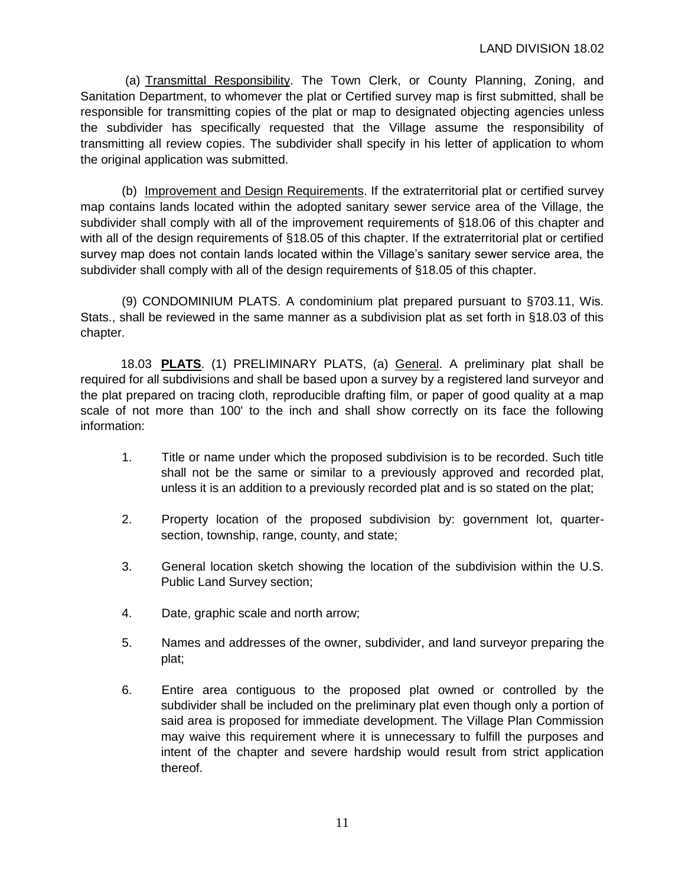(a) Transmittal Responsibility. The Town Clerk, or County Planning, Zoning, and Sanitation Department, to whomever the plat or Certified survey map is first submitted, shall be responsible for transmitting copies of the plat or map to designated objecting agencies unless the subdivider has specifically requested that the Village assume the responsibility of transmitting all review copies. The subdivider shall specify in his letter of application to whom the original application was submitted.

(b) Improvement and Design Requirements. If the extraterritorial plat or certified survey map contains lands located within the adopted sanitary sewer service area of the Village, the subdivider shall comply with all of the improvement requirements of §18.06 of this chapter and with all of the design requirements of §18.05 of this chapter. If the extraterritorial plat or certified survey map does not contain lands located within the Village's sanitary sewer service area, the subdivider shall comply with all of the design requirements of §18.05 of this chapter.

(9) CONDOMINIUM PLATS. A condominium plat prepared pursuant to §703.11, Wis. Stats., shall be reviewed in the same manner as a subdivision plat as set forth in §18.03 of this chapter.

18.03 **PLATS**. (1) PRELIMINARY PLATS, (a) General. A preliminary plat shall be required for all subdivisions and shall be based upon a survey by a registered land surveyor and the plat prepared on tracing cloth, reproducible drafting film, or paper of good quality at a map scale of not more than 100' to the inch and shall show correctly on its face the following information:

- 1. Title or name under which the proposed subdivision is to be recorded. Such title shall not be the same or similar to a previously approved and recorded plat, unless it is an addition to a previously recorded plat and is so stated on the plat;
- 2. Property location of the proposed subdivision by: government lot, quartersection, township, range, county, and state;
- 3. General location sketch showing the location of the subdivision within the U.S. Public Land Survey section;
- 4. Date, graphic scale and north arrow;
- 5. Names and addresses of the owner, subdivider, and land surveyor preparing the plat;
- 6. Entire area contiguous to the proposed plat owned or controlled by the subdivider shall be included on the preliminary plat even though only a portion of said area is proposed for immediate development. The Village Plan Commission may waive this requirement where it is unnecessary to fulfill the purposes and intent of the chapter and severe hardship would result from strict application thereof.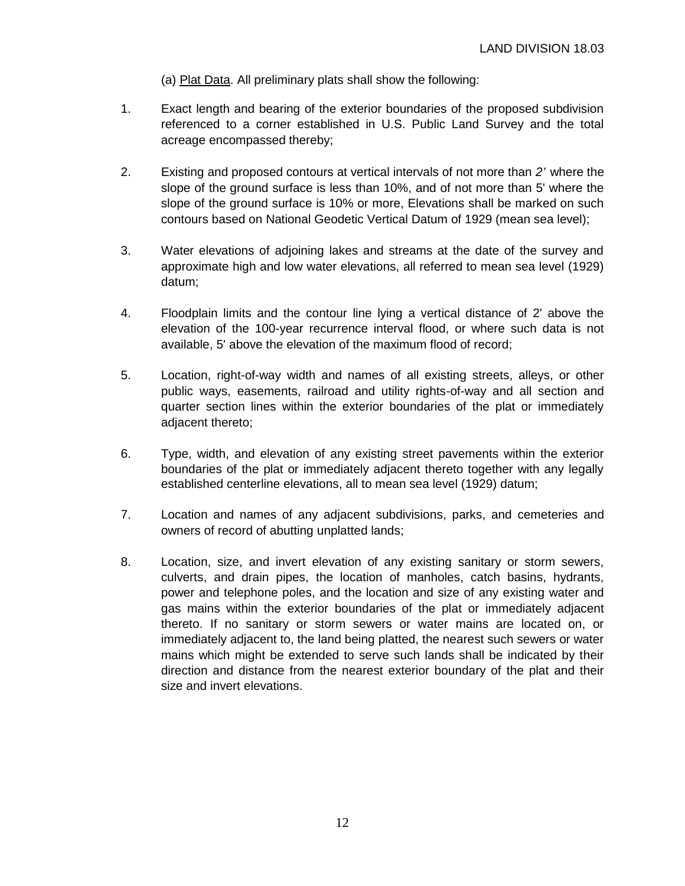(a) Plat Data. All preliminary plats shall show the following:

- 1. Exact length and bearing of the exterior boundaries of the proposed subdivision referenced to a corner established in U.S. Public Land Survey and the total acreage encompassed thereby;
- 2. Existing and proposed contours at vertical intervals of not more than *2'* where the slope of the ground surface is less than 10%, and of not more than 5' where the slope of the ground surface is 10% or more, Elevations shall be marked on such contours based on National Geodetic Vertical Datum of 1929 (mean sea level);
- 3. Water elevations of adjoining lakes and streams at the date of the survey and approximate high and low water elevations, all referred to mean sea level (1929) datum;
- 4. Floodplain limits and the contour line lying a vertical distance of 2' above the elevation of the 100-year recurrence interval flood, or where such data is not available, 5' above the elevation of the maximum flood of record;
- 5. Location, right-of-way width and names of all existing streets, alleys, or other public ways, easements, railroad and utility rights-of-way and all section and quarter section lines within the exterior boundaries of the plat or immediately adjacent thereto;
- 6. Type, width, and elevation of any existing street pavements within the exterior boundaries of the plat or immediately adjacent thereto together with any legally established centerline elevations, all to mean sea level (1929) datum;
- 7. Location and names of any adjacent subdivisions, parks, and cemeteries and owners of record of abutting unplatted lands;
- 8. Location, size, and invert elevation of any existing sanitary or storm sewers, culverts, and drain pipes, the location of manholes, catch basins, hydrants, power and telephone poles, and the location and size of any existing water and gas mains within the exterior boundaries of the plat or immediately adjacent thereto. If no sanitary or storm sewers or water mains are located on, or immediately adjacent to, the land being platted, the nearest such sewers or water mains which might be extended to serve such lands shall be indicated by their direction and distance from the nearest exterior boundary of the plat and their size and invert elevations.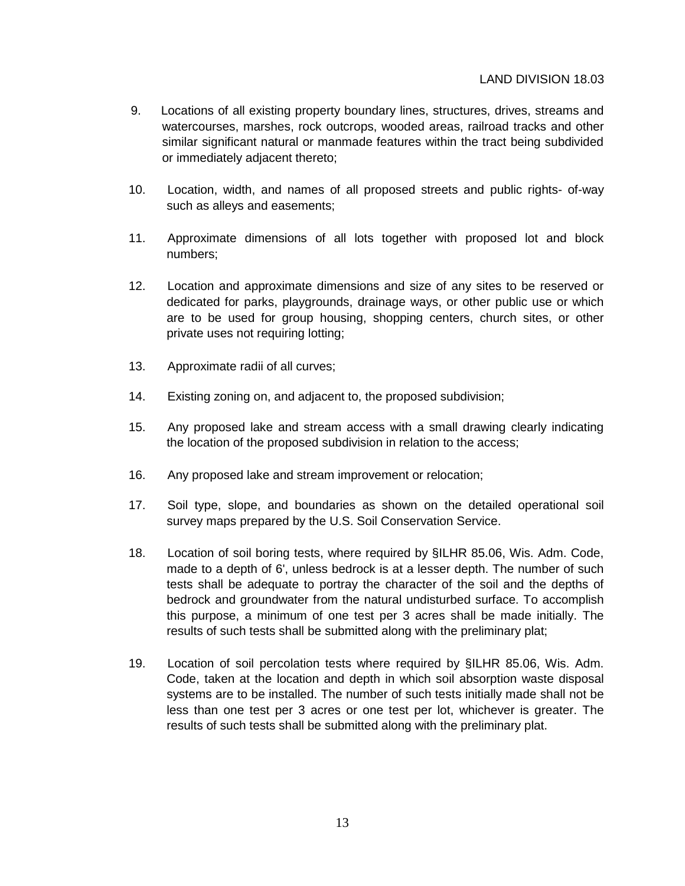## LAND DIVISION 18.03

- 9. Locations of all existing property boundary lines, structures, drives, streams and watercourses, marshes, rock outcrops, wooded areas, railroad tracks and other similar significant natural or manmade features within the tract being subdivided or immediately adjacent thereto;
- 10. Location, width, and names of all proposed streets and public rights- of-way such as alleys and easements;
- 11. Approximate dimensions of all lots together with proposed lot and block numbers;
- 12. Location and approximate dimensions and size of any sites to be reserved or dedicated for parks, playgrounds, drainage ways, or other public use or which are to be used for group housing, shopping centers, church sites, or other private uses not requiring lotting;
- 13. Approximate radii of all curves;
- 14. Existing zoning on, and adjacent to, the proposed subdivision;
- 15. Any proposed lake and stream access with a small drawing clearly indicating the location of the proposed subdivision in relation to the access;
- 16. Any proposed lake and stream improvement or relocation;
- 17. Soil type, slope, and boundaries as shown on the detailed operational soil survey maps prepared by the U.S. Soil Conservation Service.
- 18. Location of soil boring tests, where required by §ILHR 85.06, Wis. Adm. Code, made to a depth of 6', unless bedrock is at a lesser depth. The number of such tests shall be adequate to portray the character of the soil and the depths of bedrock and groundwater from the natural undisturbed surface. To accomplish this purpose, a minimum of one test per 3 acres shall be made initially. The results of such tests shall be submitted along with the preliminary plat;
- 19. Location of soil percolation tests where required by §ILHR 85.06, Wis. Adm. Code, taken at the location and depth in which soil absorption waste disposal systems are to be installed. The number of such tests initially made shall not be less than one test per 3 acres or one test per lot, whichever is greater. The results of such tests shall be submitted along with the preliminary plat.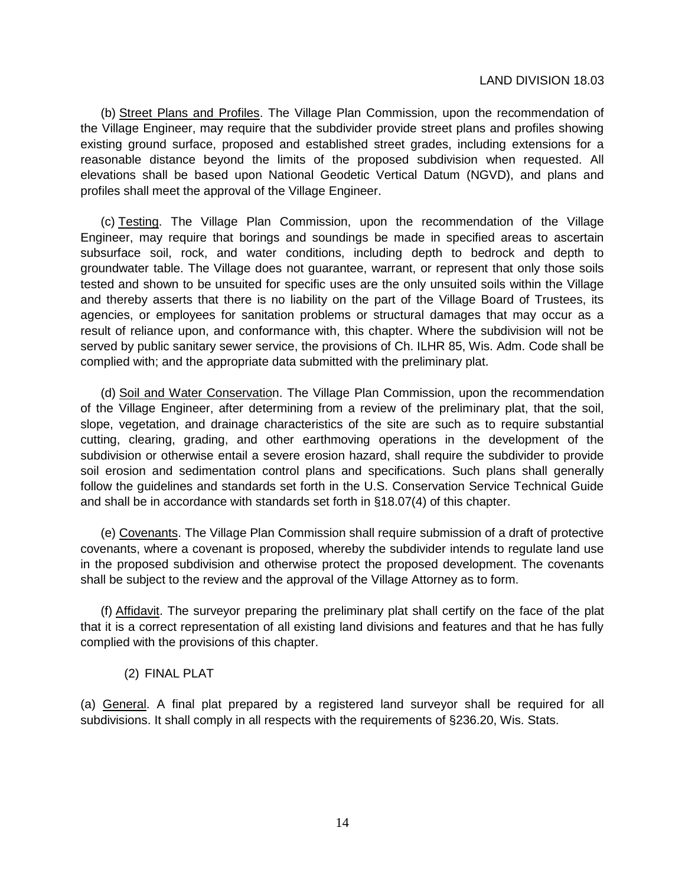#### LAND DIVISION 18.03

(b) Street Plans and Profiles. The Village Plan Commission, upon the recommendation of the Village Engineer, may require that the subdivider provide street plans and profiles showing existing ground surface, proposed and established street grades, including extensions for a reasonable distance beyond the limits of the proposed subdivision when requested. All elevations shall be based upon National Geodetic Vertical Datum (NGVD), and plans and profiles shall meet the approval of the Village Engineer.

(c) Testing. The Village Plan Commission, upon the recommendation of the Village Engineer, may require that borings and soundings be made in specified areas to ascertain subsurface soil, rock, and water conditions, including depth to bedrock and depth to groundwater table. The Village does not guarantee, warrant, or represent that only those soils tested and shown to be unsuited for specific uses are the only unsuited soils within the Village and thereby asserts that there is no liability on the part of the Village Board of Trustees, its agencies, or employees for sanitation problems or structural damages that may occur as a result of reliance upon, and conformance with, this chapter. Where the subdivision will not be served by public sanitary sewer service, the provisions of Ch. ILHR 85, Wis. Adm. Code shall be complied with; and the appropriate data submitted with the preliminary plat.

(d) Soil and Water Conservation. The Village Plan Commission, upon the recommendation of the Village Engineer, after determining from a review of the preliminary plat, that the soil, slope, vegetation, and drainage characteristics of the site are such as to require substantial cutting, clearing, grading, and other earthmoving operations in the development of the subdivision or otherwise entail a severe erosion hazard, shall require the subdivider to provide soil erosion and sedimentation control plans and specifications. Such plans shall generally follow the guidelines and standards set forth in the U.S. Conservation Service Technical Guide and shall be in accordance with standards set forth in §18.07(4) of this chapter.

(e) Covenants. The Village Plan Commission shall require submission of a draft of protective covenants, where a covenant is proposed, whereby the subdivider intends to regulate land use in the proposed subdivision and otherwise protect the proposed development. The covenants shall be subject to the review and the approval of the Village Attorney as to form.

(f) Affidavit. The surveyor preparing the preliminary plat shall certify on the face of the plat that it is a correct representation of all existing land divisions and features and that he has fully complied with the provisions of this chapter.

(2) FINAL PLAT

(a) General. A final plat prepared by a registered land surveyor shall be required for all subdivisions. It shall comply in all respects with the requirements of §236.20, Wis. Stats.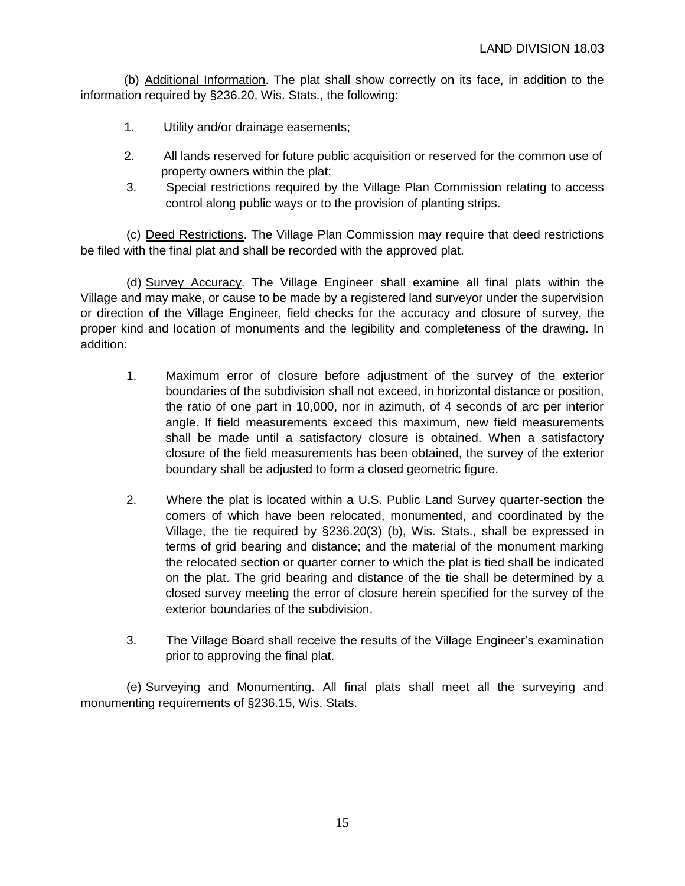(b) Additional Information. The plat shall show correctly on its face, in addition to the information required by §236.20, Wis. Stats., the following:

- 1. Utility and/or drainage easements;
- 2. All lands reserved for future public acquisition or reserved for the common use of property owners within the plat;
- 3. Special restrictions required by the Village Plan Commission relating to access control along public ways or to the provision of planting strips.

(c) Deed Restrictions. The Village Plan Commission may require that deed restrictions be filed with the final plat and shall be recorded with the approved plat.

(d) Survey Accuracy. The Village Engineer shall examine all final plats within the Village and may make, or cause to be made by a registered land surveyor under the supervision or direction of the Village Engineer, field checks for the accuracy and closure of survey, the proper kind and location of monuments and the legibility and completeness of the drawing. In addition:

- 1. Maximum error of closure before adjustment of the survey of the exterior boundaries of the subdivision shall not exceed, in horizontal distance or position, the ratio of one part in 10,000, nor in azimuth, of 4 seconds of arc per interior angle. If field measurements exceed this maximum, new field measurements shall be made until a satisfactory closure is obtained. When a satisfactory closure of the field measurements has been obtained, the survey of the exterior boundary shall be adjusted to form a closed geometric figure.
- 2. Where the plat is located within a U.S. Public Land Survey quarter-section the comers of which have been relocated, monumented, and coordinated by the Village, the tie required by §236.20(3) (b), Wis. Stats., shall be expressed in terms of grid bearing and distance; and the material of the monument marking the relocated section or quarter corner to which the plat is tied shall be indicated on the plat. The grid bearing and distance of the tie shall be determined by a closed survey meeting the error of closure herein specified for the survey of the exterior boundaries of the subdivision.
- 3. The Village Board shall receive the results of the Village Engineer's examination prior to approving the final plat.

(e) Surveying and Monumenting. All final plats shall meet all the surveying and monumenting requirements of §236.15, Wis. Stats.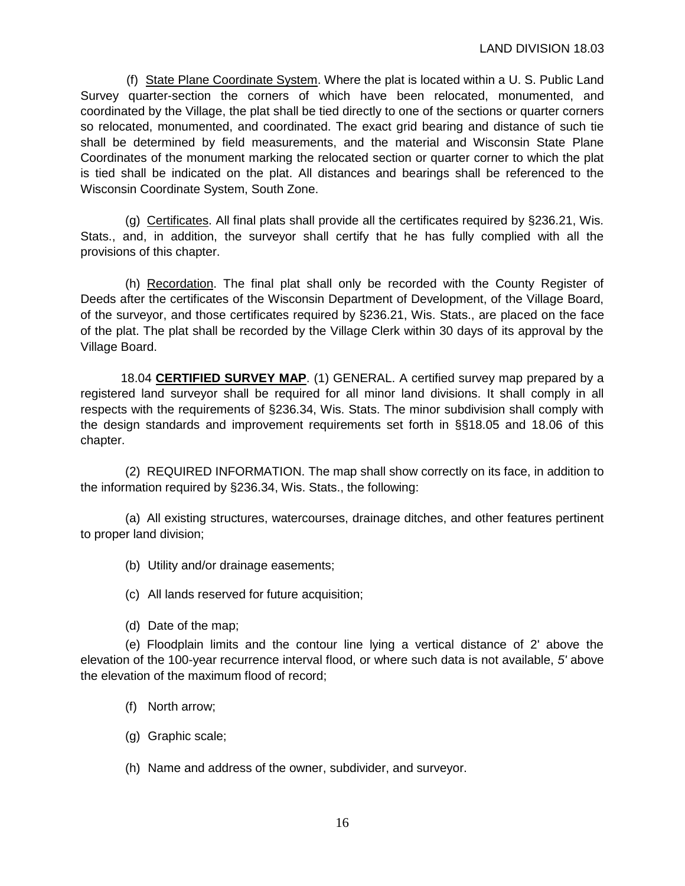(f) State Plane Coordinate System. Where the plat is located within a U. S. Public Land Survey quarter-section the corners of which have been relocated, monumented, and coordinated by the Village, the plat shall be tied directly to one of the sections or quarter corners so relocated, monumented, and coordinated. The exact grid bearing and distance of such tie shall be determined by field measurements, and the material and Wisconsin State Plane Coordinates of the monument marking the relocated section or quarter corner to which the plat is tied shall be indicated on the plat. All distances and bearings shall be referenced to the Wisconsin Coordinate System, South Zone.

(g) Certificates. All final plats shall provide all the certificates required by §236.21, Wis. Stats., and, in addition, the surveyor shall certify that he has fully complied with all the provisions of this chapter.

(h) Recordation. The final plat shall only be recorded with the County Register of Deeds after the certificates of the Wisconsin Department of Development, of the Village Board, of the surveyor, and those certificates required by §236.21, Wis. Stats., are placed on the face of the plat. The plat shall be recorded by the Village Clerk within 30 days of its approval by the Village Board.

18.04 **CERTIFIED SURVEY MAP**. (1) GENERAL. A certified survey map prepared by a registered land surveyor shall be required for all minor land divisions. It shall comply in all respects with the requirements of §236.34, Wis. Stats. The minor subdivision shall comply with the design standards and improvement requirements set forth in §§18.05 and 18.06 of this chapter.

(2) REQUIRED INFORMATION. The map shall show correctly on its face, in addition to the information required by §236.34, Wis. Stats., the following:

(a) All existing structures, watercourses, drainage ditches, and other features pertinent to proper land division;

(b) Utility and/or drainage easements;

- (c) All lands reserved for future acquisition;
- (d) Date of the map;

(e) Floodplain limits and the contour line lying a vertical distance of 2' above the elevation of the 100-year recurrence interval flood, or where such data is not available, *5'* above the elevation of the maximum flood of record;

- (f) North arrow;
- (g) Graphic scale;
- (h) Name and address of the owner, subdivider, and surveyor.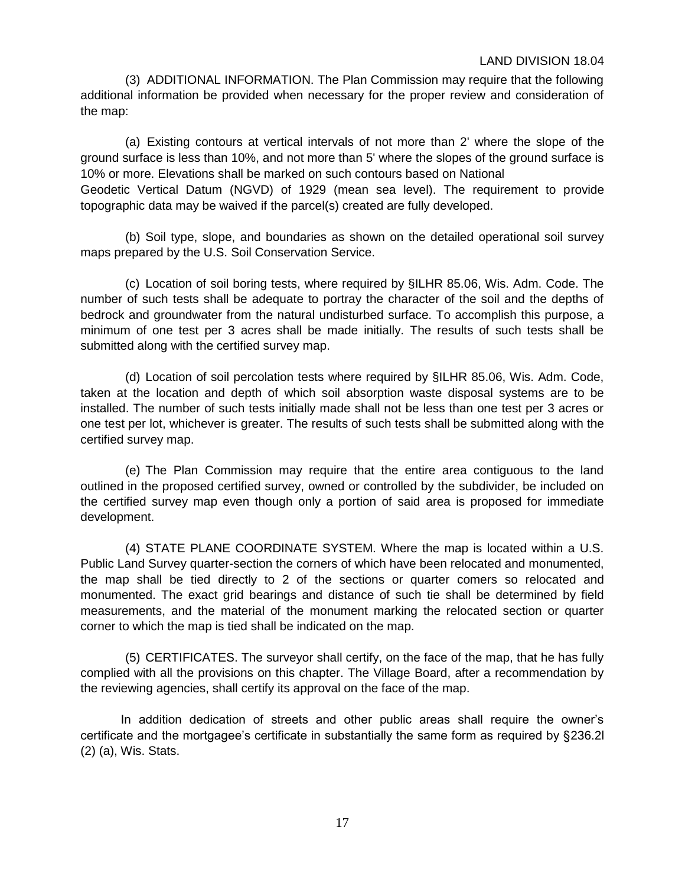## LAND DIVISION 18.04

(3) ADDITIONAL INFORMATION. The Plan Commission may require that the following additional information be provided when necessary for the proper review and consideration of the map:

(a) Existing contours at vertical intervals of not more than 2' where the slope of the ground surface is less than 10%, and not more than 5' where the slopes of the ground surface is 10% or more. Elevations shall be marked on such contours based on National Geodetic Vertical Datum (NGVD) of 1929 (mean sea level). The requirement to provide topographic data may be waived if the parcel(s) created are fully developed.

(b) Soil type, slope, and boundaries as shown on the detailed operational soil survey maps prepared by the U.S. Soil Conservation Service.

(c) Location of soil boring tests, where required by §ILHR 85.06, Wis. Adm. Code. The number of such tests shall be adequate to portray the character of the soil and the depths of bedrock and groundwater from the natural undisturbed surface. To accomplish this purpose, a minimum of one test per 3 acres shall be made initially. The results of such tests shall be submitted along with the certified survey map.

(d) Location of soil percolation tests where required by §ILHR 85.06, Wis. Adm. Code, taken at the location and depth of which soil absorption waste disposal systems are to be installed. The number of such tests initially made shall not be less than one test per 3 acres or one test per lot, whichever is greater. The results of such tests shall be submitted along with the certified survey map.

(e) The Plan Commission may require that the entire area contiguous to the land outlined in the proposed certified survey, owned or controlled by the subdivider, be included on the certified survey map even though only a portion of said area is proposed for immediate development.

(4) STATE PLANE COORDINATE SYSTEM. Where the map is located within a U.S. Public Land Survey quarter-section the corners of which have been relocated and monumented, the map shall be tied directly to 2 of the sections or quarter comers so relocated and monumented. The exact grid bearings and distance of such tie shall be determined by field measurements, and the material of the monument marking the relocated section or quarter corner to which the map is tied shall be indicated on the map.

(5) CERTIFICATES. The surveyor shall certify, on the face of the map, that he has fully complied with all the provisions on this chapter. The Village Board, after a recommendation by the reviewing agencies, shall certify its approval on the face of the map.

In addition dedication of streets and other public areas shall require the owner's certificate and the mortgagee's certificate in substantially the same form as required by §236.2l (2) (a), Wis. Stats.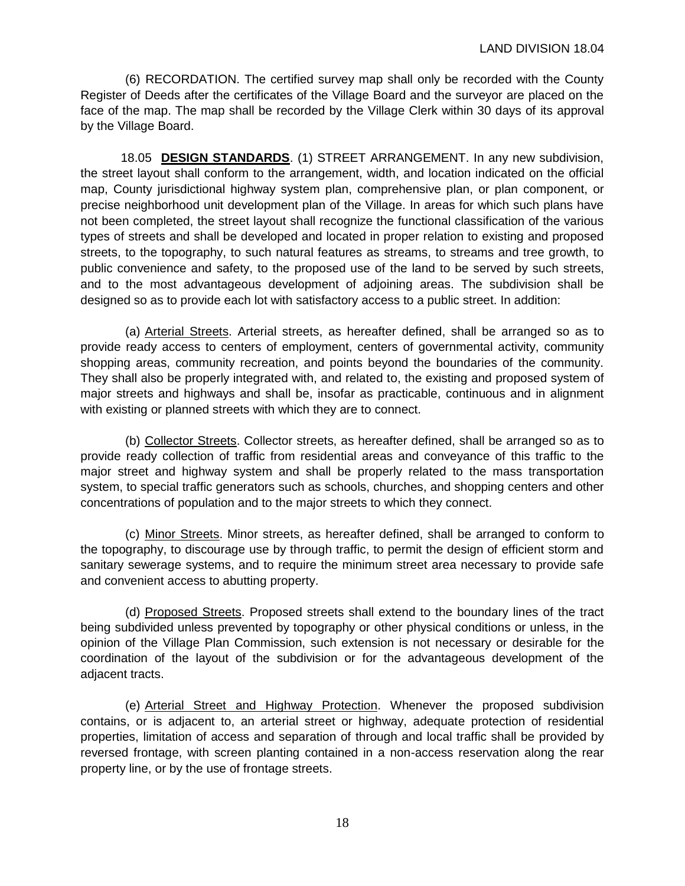(6) RECORDATION. The certified survey map shall only be recorded with the County Register of Deeds after the certificates of the Village Board and the surveyor are placed on the face of the map. The map shall be recorded by the Village Clerk within 30 days of its approval by the Village Board.

18.05 **DESIGN STANDARDS**. (1) STREET ARRANGEMENT. In any new subdivision, the street layout shall conform to the arrangement, width, and location indicated on the official map, County jurisdictional highway system plan, comprehensive plan, or plan component, or precise neighborhood unit development plan of the Village. In areas for which such plans have not been completed, the street layout shall recognize the functional classification of the various types of streets and shall be developed and located in proper relation to existing and proposed streets, to the topography, to such natural features as streams, to streams and tree growth, to public convenience and safety, to the proposed use of the land to be served by such streets, and to the most advantageous development of adjoining areas. The subdivision shall be designed so as to provide each lot with satisfactory access to a public street. In addition:

(a) Arterial Streets. Arterial streets, as hereafter defined, shall be arranged so as to provide ready access to centers of employment, centers of governmental activity, community shopping areas, community recreation, and points beyond the boundaries of the community. They shall also be properly integrated with, and related to, the existing and proposed system of major streets and highways and shall be, insofar as practicable, continuous and in alignment with existing or planned streets with which they are to connect.

(b) Collector Streets. Collector streets, as hereafter defined, shall be arranged so as to provide ready collection of traffic from residential areas and conveyance of this traffic to the major street and highway system and shall be properly related to the mass transportation system, to special traffic generators such as schools, churches, and shopping centers and other concentrations of population and to the major streets to which they connect.

(c) Minor Streets. Minor streets, as hereafter defined, shall be arranged to conform to the topography, to discourage use by through traffic, to permit the design of efficient storm and sanitary sewerage systems, and to require the minimum street area necessary to provide safe and convenient access to abutting property.

(d) Proposed Streets. Proposed streets shall extend to the boundary lines of the tract being subdivided unless prevented by topography or other physical conditions or unless, in the opinion of the Village Plan Commission, such extension is not necessary or desirable for the coordination of the layout of the subdivision or for the advantageous development of the adjacent tracts.

(e) Arterial Street and Highway Protection. Whenever the proposed subdivision contains, or is adjacent to, an arterial street or highway, adequate protection of residential properties, limitation of access and separation of through and local traffic shall be provided by reversed frontage, with screen planting contained in a non-access reservation along the rear property line, or by the use of frontage streets.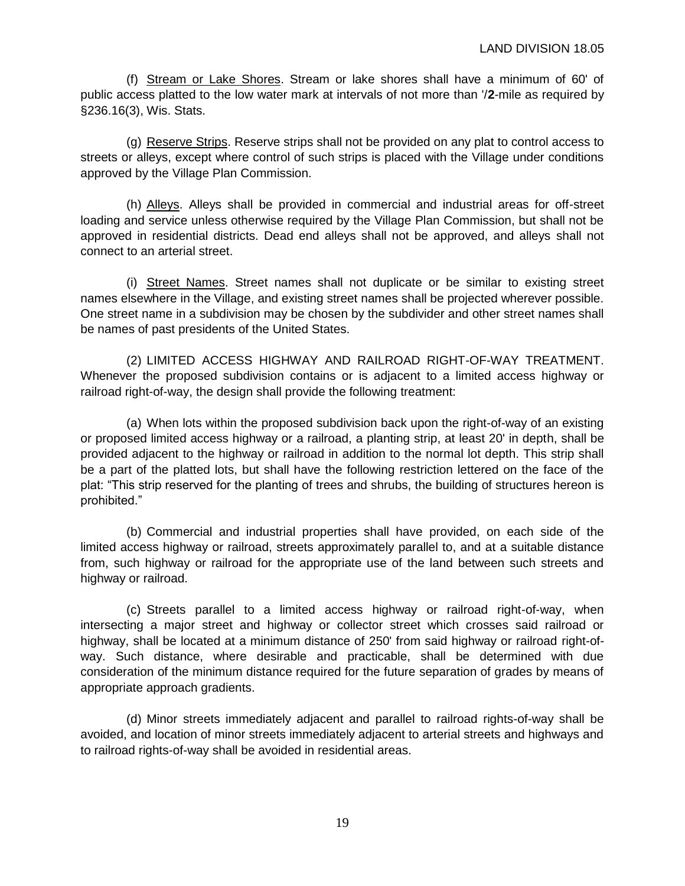(f) Stream or Lake Shores. Stream or lake shores shall have a minimum of 60' of public access platted to the low water mark at intervals of not more than '/**2**-mile as required by §236.16(3), Wis. Stats.

(g) Reserve Strips. Reserve strips shall not be provided on any plat to control access to streets or alleys, except where control of such strips is placed with the Village under conditions approved by the Village Plan Commission.

(h) Alleys. Alleys shall be provided in commercial and industrial areas for off-street loading and service unless otherwise required by the Village Plan Commission, but shall not be approved in residential districts. Dead end alleys shall not be approved, and alleys shall not connect to an arterial street.

(i) Street Names. Street names shall not duplicate or be similar to existing street names elsewhere in the Village, and existing street names shall be projected wherever possible. One street name in a subdivision may be chosen by the subdivider and other street names shall be names of past presidents of the United States.

(2) LIMITED ACCESS HIGHWAY AND RAILROAD RIGHT-OF-WAY TREATMENT. Whenever the proposed subdivision contains or is adjacent to a limited access highway or railroad right-of-way, the design shall provide the following treatment:

(a) When lots within the proposed subdivision back upon the right-of-way of an existing or proposed limited access highway or a railroad, a planting strip, at least 20' in depth, shall be provided adjacent to the highway or railroad in addition to the normal lot depth. This strip shall be a part of the platted lots, but shall have the following restriction lettered on the face of the plat: "This strip reserved for the planting of trees and shrubs, the building of structures hereon is prohibited."

(b) Commercial and industrial properties shall have provided, on each side of the limited access highway or railroad, streets approximately parallel to, and at a suitable distance from, such highway or railroad for the appropriate use of the land between such streets and highway or railroad.

(c) Streets parallel to a limited access highway or railroad right-of-way, when intersecting a major street and highway or collector street which crosses said railroad or highway, shall be located at a minimum distance of 250' from said highway or railroad right-ofway. Such distance, where desirable and practicable, shall be determined with due consideration of the minimum distance required for the future separation of grades by means of appropriate approach gradients.

(d) Minor streets immediately adjacent and parallel to railroad rights-of-way shall be avoided, and location of minor streets immediately adjacent to arterial streets and highways and to railroad rights-of-way shall be avoided in residential areas.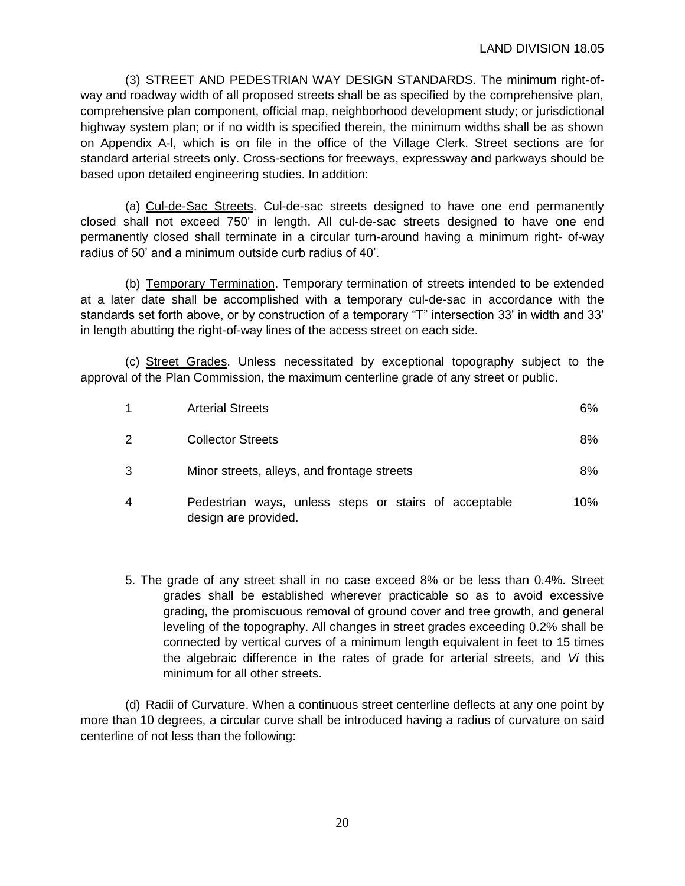(3) STREET AND PEDESTRIAN WAY DESIGN STANDARDS. The minimum right-ofway and roadway width of all proposed streets shall be as specified by the comprehensive plan, comprehensive plan component, official map, neighborhood development study; or jurisdictional highway system plan; or if no width is specified therein, the minimum widths shall be as shown on Appendix A-l, which is on file in the office of the Village Clerk. Street sections are for standard arterial streets only. Cross-sections for freeways, expressway and parkways should be based upon detailed engineering studies. In addition:

(a) Cul-de-Sac Streets. Cul-de-sac streets designed to have one end permanently closed shall not exceed 750' in length. All cul-de-sac streets designed to have one end permanently closed shall terminate in a circular turn-around having a minimum right- of-way radius of 50' and a minimum outside curb radius of 40'.

(b) Temporary Termination. Temporary termination of streets intended to be extended at a later date shall be accomplished with a temporary cul-de-sac in accordance with the standards set forth above, or by construction of a temporary "T" intersection 33' in width and 33' in length abutting the right-of-way lines of the access street on each side.

(c) Street Grades. Unless necessitated by exceptional topography subject to the approval of the Plan Commission, the maximum centerline grade of any street or public.

|   | <b>Arterial Streets</b>                                                       | 6%     |
|---|-------------------------------------------------------------------------------|--------|
| 2 | <b>Collector Streets</b>                                                      | 8%     |
| 3 | Minor streets, alleys, and frontage streets                                   | 8%     |
| 4 | Pedestrian ways, unless steps or stairs of acceptable<br>design are provided. | $10\%$ |

5. The grade of any street shall in no case exceed 8% or be less than 0.4%. Street grades shall be established wherever practicable so as to avoid excessive grading, the promiscuous removal of ground cover and tree growth, and general leveling of the topography. All changes in street grades exceeding 0.2% shall be connected by vertical curves of a minimum length equivalent in feet to 15 times the algebraic difference in the rates of grade for arterial streets, and *Vi* this minimum for all other streets.

(d) Radii of Curvature. When a continuous street centerline deflects at any one point by more than 10 degrees, a circular curve shall be introduced having a radius of curvature on said centerline of not less than the following: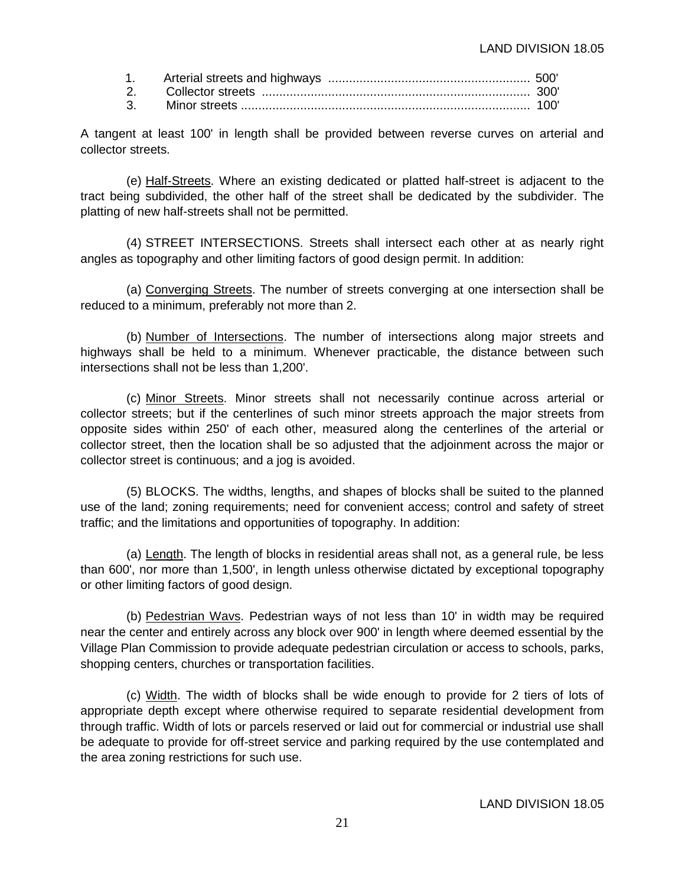A tangent at least 100' in length shall be provided between reverse curves on arterial and collector streets.

(e) Half-Streets. Where an existing dedicated or platted half-street is adjacent to the tract being subdivided, the other half of the street shall be dedicated by the subdivider. The platting of new half-streets shall not be permitted.

(4) STREET INTERSECTIONS. Streets shall intersect each other at as nearly right angles as topography and other limiting factors of good design permit. In addition:

(a) Converging Streets. The number of streets converging at one intersection shall be reduced to a minimum, preferably not more than 2.

(b) Number of Intersections. The number of intersections along major streets and highways shall be held to a minimum. Whenever practicable, the distance between such intersections shall not be less than 1,200'.

(c) Minor Streets. Minor streets shall not necessarily continue across arterial or collector streets; but if the centerlines of such minor streets approach the major streets from opposite sides within 250' of each other, measured along the centerlines of the arterial or collector street, then the location shall be so adjusted that the adjoinment across the major or collector street is continuous; and a jog is avoided.

(5) BLOCKS. The widths, lengths, and shapes of blocks shall be suited to the planned use of the land; zoning requirements; need for convenient access; control and safety of street traffic; and the limitations and opportunities of topography. In addition:

(a) Length. The length of blocks in residential areas shall not, as a general rule, be less than 600', nor more than 1,500', in length unless otherwise dictated by exceptional topography or other limiting factors of good design.

(b) Pedestrian Wavs. Pedestrian ways of not less than 10' in width may be required near the center and entirely across any block over 900' in length where deemed essential by the Village Plan Commission to provide adequate pedestrian circulation or access to schools, parks, shopping centers, churches or transportation facilities.

(c) Width. The width of blocks shall be wide enough to provide for 2 tiers of lots of appropriate depth except where otherwise required to separate residential development from through traffic. Width of lots or parcels reserved or laid out for commercial or industrial use shall be adequate to provide for off-street service and parking required by the use contemplated and the area zoning restrictions for such use.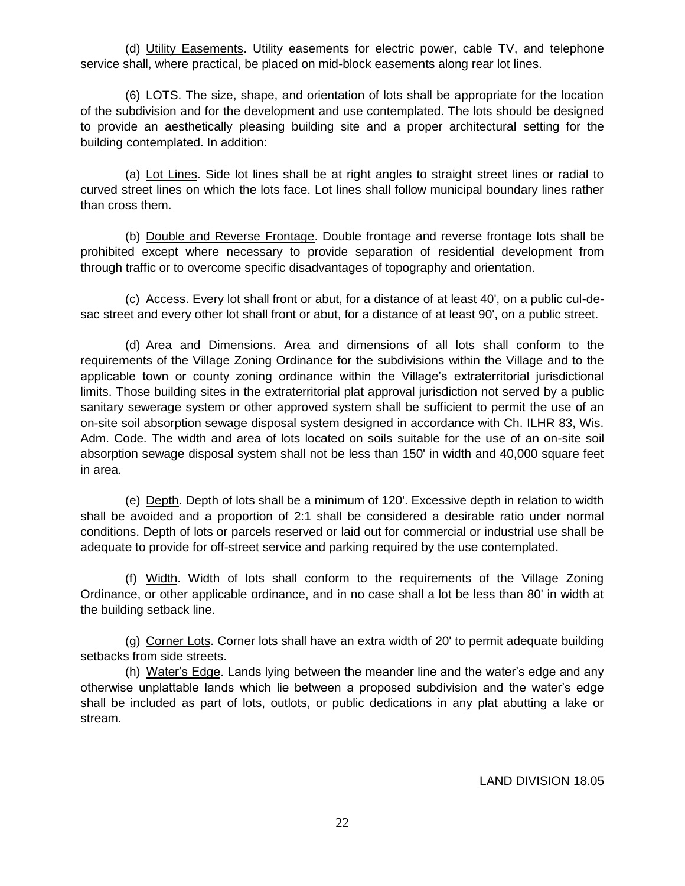(d) Utility Easements. Utility easements for electric power, cable TV, and telephone service shall, where practical, be placed on mid-block easements along rear lot lines.

(6) LOTS. The size, shape, and orientation of lots shall be appropriate for the location of the subdivision and for the development and use contemplated. The lots should be designed to provide an aesthetically pleasing building site and a proper architectural setting for the building contemplated. In addition:

(a) Lot Lines. Side lot lines shall be at right angles to straight street lines or radial to curved street lines on which the lots face. Lot lines shall follow municipal boundary lines rather than cross them.

(b) Double and Reverse Frontage. Double frontage and reverse frontage lots shall be prohibited except where necessary to provide separation of residential development from through traffic or to overcome specific disadvantages of topography and orientation.

(c) Access. Every lot shall front or abut, for a distance of at least 40', on a public cul-desac street and every other lot shall front or abut, for a distance of at least 90', on a public street.

(d) Area and Dimensions. Area and dimensions of all lots shall conform to the requirements of the Village Zoning Ordinance for the subdivisions within the Village and to the applicable town or county zoning ordinance within the Village's extraterritorial jurisdictional limits. Those building sites in the extraterritorial plat approval jurisdiction not served by a public sanitary sewerage system or other approved system shall be sufficient to permit the use of an on-site soil absorption sewage disposal system designed in accordance with Ch. ILHR 83, Wis. Adm. Code. The width and area of lots located on soils suitable for the use of an on-site soil absorption sewage disposal system shall not be less than 150' in width and 40,000 square feet in area.

(e) Depth. Depth of lots shall be a minimum of 120'. Excessive depth in relation to width shall be avoided and a proportion of 2:1 shall be considered a desirable ratio under normal conditions. Depth of lots or parcels reserved or laid out for commercial or industrial use shall be adequate to provide for off-street service and parking required by the use contemplated.

(f) Width. Width of lots shall conform to the requirements of the Village Zoning Ordinance, or other applicable ordinance, and in no case shall a lot be less than 80' in width at the building setback line.

(g) Corner Lots. Corner lots shall have an extra width of 20' to permit adequate building setbacks from side streets.

(h) Water's Edge. Lands lying between the meander line and the water's edge and any otherwise unplattable lands which lie between a proposed subdivision and the water's edge shall be included as part of lots, outlots, or public dedications in any plat abutting a lake or stream.

LAND DIVISION 18.05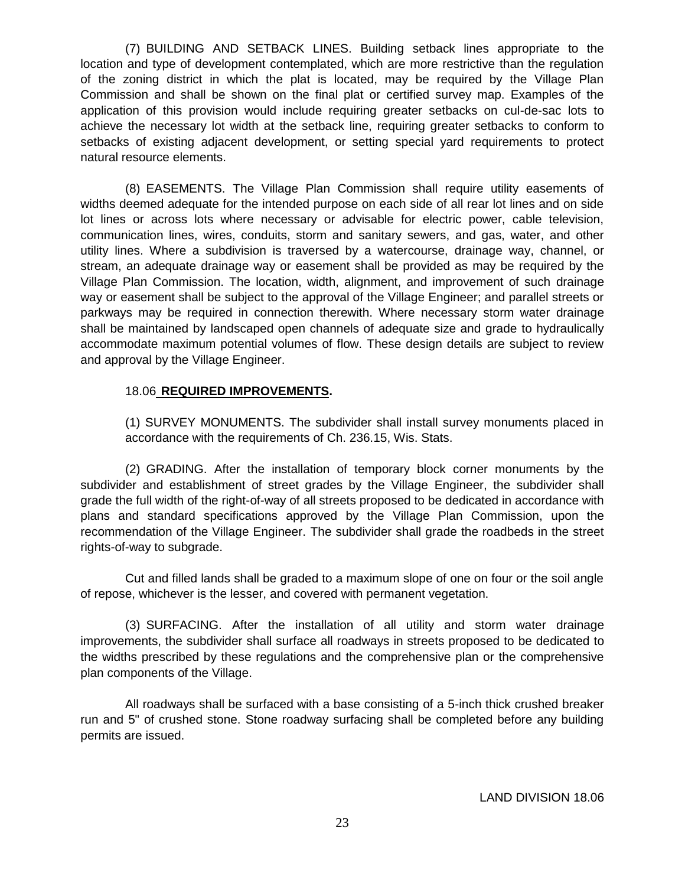(7) BUILDING AND SETBACK LINES. Building setback lines appropriate to the location and type of development contemplated, which are more restrictive than the regulation of the zoning district in which the plat is located, may be required by the Village Plan Commission and shall be shown on the final plat or certified survey map. Examples of the application of this provision would include requiring greater setbacks on cul-de-sac lots to achieve the necessary lot width at the setback line, requiring greater setbacks to conform to setbacks of existing adjacent development, or setting special yard requirements to protect natural resource elements.

(8) EASEMENTS. The Village Plan Commission shall require utility easements of widths deemed adequate for the intended purpose on each side of all rear lot lines and on side lot lines or across lots where necessary or advisable for electric power, cable television, communication lines, wires, conduits, storm and sanitary sewers, and gas, water, and other utility lines. Where a subdivision is traversed by a watercourse, drainage way, channel, or stream, an adequate drainage way or easement shall be provided as may be required by the Village Plan Commission. The location, width, alignment, and improvement of such drainage way or easement shall be subject to the approval of the Village Engineer; and parallel streets or parkways may be required in connection therewith. Where necessary storm water drainage shall be maintained by landscaped open channels of adequate size and grade to hydraulically accommodate maximum potential volumes of flow. These design details are subject to review and approval by the Village Engineer.

## 18.06 **REQUIRED IMPROVEMENTS.**

(1) SURVEY MONUMENTS. The subdivider shall install survey monuments placed in accordance with the requirements of Ch. 236.15, Wis. Stats.

(2) GRADING. After the installation of temporary block corner monuments by the subdivider and establishment of street grades by the Village Engineer, the subdivider shall grade the full width of the right-of-way of all streets proposed to be dedicated in accordance with plans and standard specifications approved by the Village Plan Commission, upon the recommendation of the Village Engineer. The subdivider shall grade the roadbeds in the street rights-of-way to subgrade.

Cut and filled lands shall be graded to a maximum slope of one on four or the soil angle of repose, whichever is the lesser, and covered with permanent vegetation.

(3) SURFACING. After the installation of all utility and storm water drainage improvements, the subdivider shall surface all roadways in streets proposed to be dedicated to the widths prescribed by these regulations and the comprehensive plan or the comprehensive plan components of the Village.

All roadways shall be surfaced with a base consisting of a 5-inch thick crushed breaker run and 5" of crushed stone. Stone roadway surfacing shall be completed before any building permits are issued.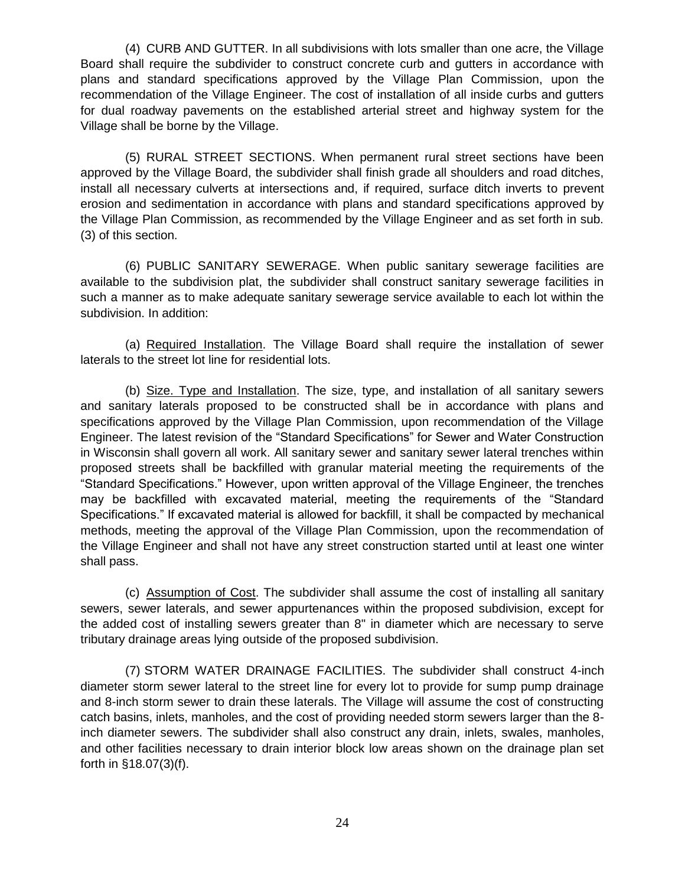(4) CURB AND GUTTER. In all subdivisions with lots smaller than one acre, the Village Board shall require the subdivider to construct concrete curb and gutters in accordance with plans and standard specifications approved by the Village Plan Commission, upon the recommendation of the Village Engineer. The cost of installation of all inside curbs and gutters for dual roadway pavements on the established arterial street and highway system for the Village shall be borne by the Village.

(5) RURAL STREET SECTIONS. When permanent rural street sections have been approved by the Village Board, the subdivider shall finish grade all shoulders and road ditches, install all necessary culverts at intersections and, if required, surface ditch inverts to prevent erosion and sedimentation in accordance with plans and standard specifications approved by the Village Plan Commission, as recommended by the Village Engineer and as set forth in sub. (3) of this section.

(6) PUBLIC SANITARY SEWERAGE. When public sanitary sewerage facilities are available to the subdivision plat, the subdivider shall construct sanitary sewerage facilities in such a manner as to make adequate sanitary sewerage service available to each lot within the subdivision. In addition:

(a) Required Installation. The Village Board shall require the installation of sewer laterals to the street lot line for residential lots.

(b) Size. Type and Installation. The size, type, and installation of all sanitary sewers and sanitary laterals proposed to be constructed shall be in accordance with plans and specifications approved by the Village Plan Commission, upon recommendation of the Village Engineer. The latest revision of the "Standard Specifications" for Sewer and Water Construction in Wisconsin shall govern all work. All sanitary sewer and sanitary sewer lateral trenches within proposed streets shall be backfilled with granular material meeting the requirements of the "Standard Specifications." However, upon written approval of the Village Engineer, the trenches may be backfilled with excavated material, meeting the requirements of the "Standard Specifications." If excavated material is allowed for backfill, it shall be compacted by mechanical methods, meeting the approval of the Village Plan Commission, upon the recommendation of the Village Engineer and shall not have any street construction started until at least one winter shall pass.

(c) Assumption of Cost. The subdivider shall assume the cost of installing all sanitary sewers, sewer laterals, and sewer appurtenances within the proposed subdivision, except for the added cost of installing sewers greater than 8" in diameter which are necessary to serve tributary drainage areas lying outside of the proposed subdivision.

(7) STORM WATER DRAINAGE FACILITIES. The subdivider shall construct 4-inch diameter storm sewer lateral to the street line for every lot to provide for sump pump drainage and 8-inch storm sewer to drain these laterals. The Village will assume the cost of constructing catch basins, inlets, manholes, and the cost of providing needed storm sewers larger than the 8 inch diameter sewers. The subdivider shall also construct any drain, inlets, swales, manholes, and other facilities necessary to drain interior block low areas shown on the drainage plan set forth in §18.07(3)(f).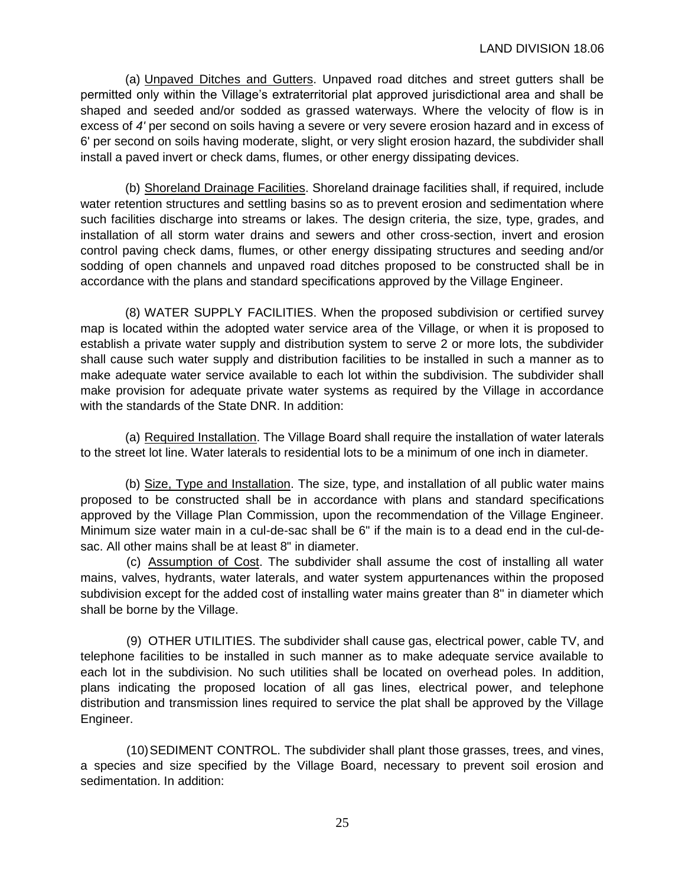(a) Unpaved Ditches and Gutters. Unpaved road ditches and street gutters shall be permitted only within the Village's extraterritorial plat approved jurisdictional area and shall be shaped and seeded and/or sodded as grassed waterways. Where the velocity of flow is in excess of *4'* per second on soils having a severe or very severe erosion hazard and in excess of 6' per second on soils having moderate, slight, or very slight erosion hazard, the subdivider shall install a paved invert or check dams, flumes, or other energy dissipating devices.

(b) Shoreland Drainage Facilities. Shoreland drainage facilities shall, if required, include water retention structures and settling basins so as to prevent erosion and sedimentation where such facilities discharge into streams or lakes. The design criteria, the size, type, grades, and installation of all storm water drains and sewers and other cross-section, invert and erosion control paving check dams, flumes, or other energy dissipating structures and seeding and/or sodding of open channels and unpaved road ditches proposed to be constructed shall be in accordance with the plans and standard specifications approved by the Village Engineer.

(8) WATER SUPPLY FACILITIES. When the proposed subdivision or certified survey map is located within the adopted water service area of the Village, or when it is proposed to establish a private water supply and distribution system to serve 2 or more lots, the subdivider shall cause such water supply and distribution facilities to be installed in such a manner as to make adequate water service available to each lot within the subdivision. The subdivider shall make provision for adequate private water systems as required by the Village in accordance with the standards of the State DNR. In addition:

(a) Required Installation. The Village Board shall require the installation of water laterals to the street lot line. Water laterals to residential lots to be a minimum of one inch in diameter.

(b) Size, Type and Installation. The size, type, and installation of all public water mains proposed to be constructed shall be in accordance with plans and standard specifications approved by the Village Plan Commission, upon the recommendation of the Village Engineer. Minimum size water main in a cul-de-sac shall be 6" if the main is to a dead end in the cul-desac. All other mains shall be at least 8" in diameter.

(c) Assumption of Cost. The subdivider shall assume the cost of installing all water mains, valves, hydrants, water laterals, and water system appurtenances within the proposed subdivision except for the added cost of installing water mains greater than 8" in diameter which shall be borne by the Village.

(9) OTHER UTILITIES. The subdivider shall cause gas, electrical power, cable TV, and telephone facilities to be installed in such manner as to make adequate service available to each lot in the subdivision. No such utilities shall be located on overhead poles. In addition, plans indicating the proposed location of all gas lines, electrical power, and telephone distribution and transmission lines required to service the plat shall be approved by the Village Engineer.

(10)SEDIMENT CONTROL. The subdivider shall plant those grasses, trees, and vines, a species and size specified by the Village Board, necessary to prevent soil erosion and sedimentation. In addition: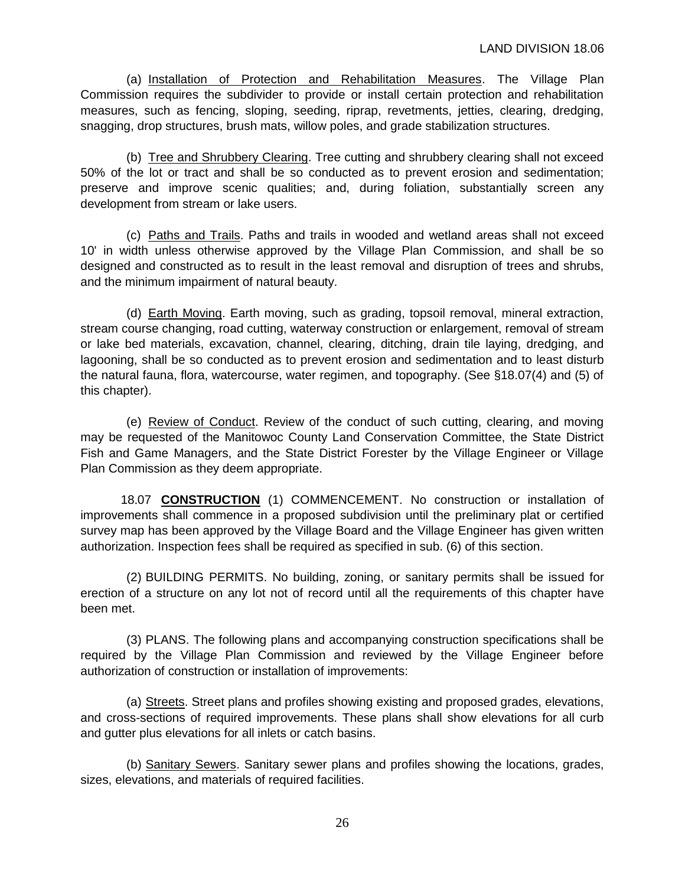(a) Installation of Protection and Rehabilitation Measures. The Village Plan Commission requires the subdivider to provide or install certain protection and rehabilitation measures, such as fencing, sloping, seeding, riprap, revetments, jetties, clearing, dredging, snagging, drop structures, brush mats, willow poles, and grade stabilization structures.

(b) Tree and Shrubbery Clearing. Tree cutting and shrubbery clearing shall not exceed 50% of the lot or tract and shall be so conducted as to prevent erosion and sedimentation; preserve and improve scenic qualities; and, during foliation, substantially screen any development from stream or lake users.

(c) Paths and Trails. Paths and trails in wooded and wetland areas shall not exceed 10' in width unless otherwise approved by the Village Plan Commission, and shall be so designed and constructed as to result in the least removal and disruption of trees and shrubs, and the minimum impairment of natural beauty.

(d) Earth Moving. Earth moving, such as grading, topsoil removal, mineral extraction, stream course changing, road cutting, waterway construction or enlargement, removal of stream or lake bed materials, excavation, channel, clearing, ditching, drain tile laying, dredging, and lagooning, shall be so conducted as to prevent erosion and sedimentation and to least disturb the natural fauna, flora, watercourse, water regimen, and topography. (See §18.07(4) and (5) of this chapter).

(e) Review of Conduct. Review of the conduct of such cutting, clearing, and moving may be requested of the Manitowoc County Land Conservation Committee, the State District Fish and Game Managers, and the State District Forester by the Village Engineer or Village Plan Commission as they deem appropriate.

18.07 **CONSTRUCTION** (1) COMMENCEMENT. No construction or installation of improvements shall commence in a proposed subdivision until the preliminary plat or certified survey map has been approved by the Village Board and the Village Engineer has given written authorization. Inspection fees shall be required as specified in sub. (6) of this section.

(2) BUILDING PERMITS. No building, zoning, or sanitary permits shall be issued for erection of a structure on any lot not of record until all the requirements of this chapter have been met.

(3) PLANS. The following plans and accompanying construction specifications shall be required by the Village Plan Commission and reviewed by the Village Engineer before authorization of construction or installation of improvements:

(a) Streets. Street plans and profiles showing existing and proposed grades, elevations, and cross-sections of required improvements. These plans shall show elevations for all curb and gutter plus elevations for all inlets or catch basins.

(b) Sanitary Sewers. Sanitary sewer plans and profiles showing the locations, grades, sizes, elevations, and materials of required facilities.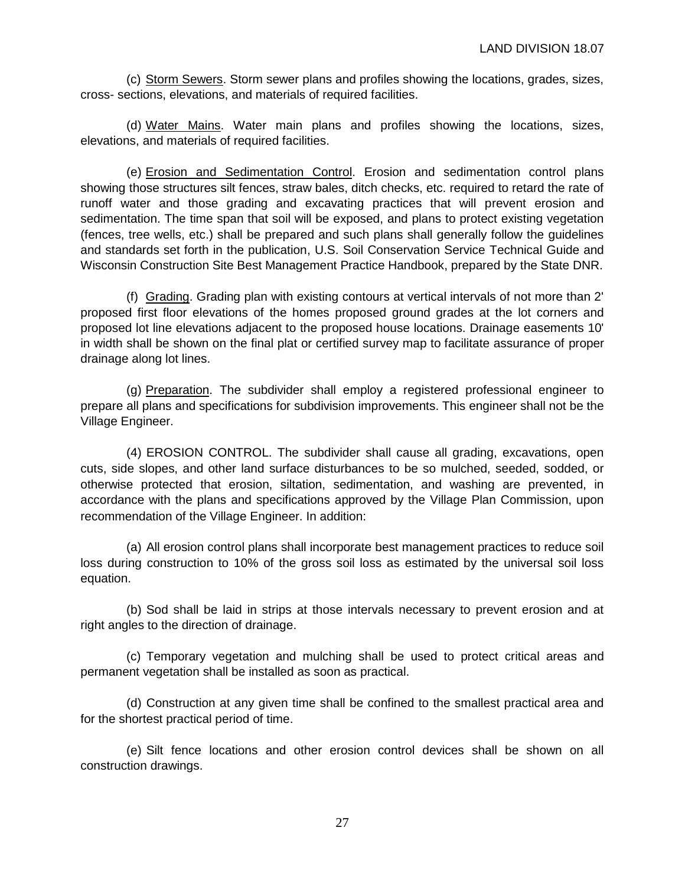(c) Storm Sewers. Storm sewer plans and profiles showing the locations, grades, sizes, cross- sections, elevations, and materials of required facilities.

(d) Water Mains. Water main plans and profiles showing the locations, sizes, elevations, and materials of required facilities.

(e) Erosion and Sedimentation Control. Erosion and sedimentation control plans showing those structures silt fences, straw bales, ditch checks, etc. required to retard the rate of runoff water and those grading and excavating practices that will prevent erosion and sedimentation. The time span that soil will be exposed, and plans to protect existing vegetation (fences, tree wells, etc.) shall be prepared and such plans shall generally follow the guidelines and standards set forth in the publication, U.S. Soil Conservation Service Technical Guide and Wisconsin Construction Site Best Management Practice Handbook, prepared by the State DNR.

(f) Grading. Grading plan with existing contours at vertical intervals of not more than 2' proposed first floor elevations of the homes proposed ground grades at the lot corners and proposed lot line elevations adjacent to the proposed house locations. Drainage easements 10' in width shall be shown on the final plat or certified survey map to facilitate assurance of proper drainage along lot lines.

(g) Preparation. The subdivider shall employ a registered professional engineer to prepare all plans and specifications for subdivision improvements. This engineer shall not be the Village Engineer.

(4) EROSION CONTROL. The subdivider shall cause all grading, excavations, open cuts, side slopes, and other land surface disturbances to be so mulched, seeded, sodded, or otherwise protected that erosion, siltation, sedimentation, and washing are prevented, in accordance with the plans and specifications approved by the Village Plan Commission, upon recommendation of the Village Engineer. In addition:

(a) All erosion control plans shall incorporate best management practices to reduce soil loss during construction to 10% of the gross soil loss as estimated by the universal soil loss equation.

(b) Sod shall be laid in strips at those intervals necessary to prevent erosion and at right angles to the direction of drainage.

(c) Temporary vegetation and mulching shall be used to protect critical areas and permanent vegetation shall be installed as soon as practical.

(d) Construction at any given time shall be confined to the smallest practical area and for the shortest practical period of time.

(e) Silt fence locations and other erosion control devices shall be shown on all construction drawings.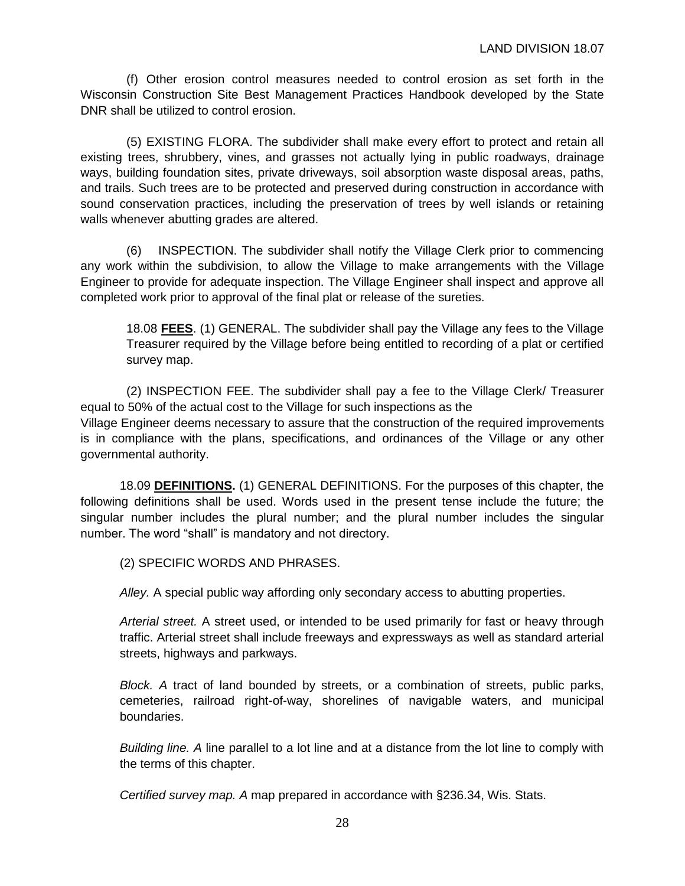(f) Other erosion control measures needed to control erosion as set forth in the Wisconsin Construction Site Best Management Practices Handbook developed by the State DNR shall be utilized to control erosion.

(5) EXISTING FLORA. The subdivider shall make every effort to protect and retain all existing trees, shrubbery, vines, and grasses not actually lying in public roadways, drainage ways, building foundation sites, private driveways, soil absorption waste disposal areas, paths, and trails. Such trees are to be protected and preserved during construction in accordance with sound conservation practices, including the preservation of trees by well islands or retaining walls whenever abutting grades are altered.

(6) INSPECTION. The subdivider shall notify the Village Clerk prior to commencing any work within the subdivision, to allow the Village to make arrangements with the Village Engineer to provide for adequate inspection. The Village Engineer shall inspect and approve all completed work prior to approval of the final plat or release of the sureties.

18.08 **FEES**. (1) GENERAL. The subdivider shall pay the Village any fees to the Village Treasurer required by the Village before being entitled to recording of a plat or certified survey map.

(2) INSPECTION FEE. The subdivider shall pay a fee to the Village Clerk/ Treasurer equal to 50% of the actual cost to the Village for such inspections as the Village Engineer deems necessary to assure that the construction of the required improvements is in compliance with the plans, specifications, and ordinances of the Village or any other governmental authority.

18.09 **DEFINITIONS.** (1) GENERAL DEFINITIONS. For the purposes of this chapter, the following definitions shall be used. Words used in the present tense include the future; the singular number includes the plural number; and the plural number includes the singular number. The word "shall" is mandatory and not directory.

(2) SPECIFIC WORDS AND PHRASES.

*Alley.* A special public way affording only secondary access to abutting properties.

*Arterial street.* A street used, or intended to be used primarily for fast or heavy through traffic. Arterial street shall include freeways and expressways as well as standard arterial streets, highways and parkways.

*Block. A* tract of land bounded by streets, or a combination of streets, public parks, cemeteries, railroad right-of-way, shorelines of navigable waters, and municipal boundaries.

*Building line. A* line parallel to a lot line and at a distance from the lot line to comply with the terms of this chapter.

*Certified survey map. A* map prepared in accordance with §236.34, Wis. Stats.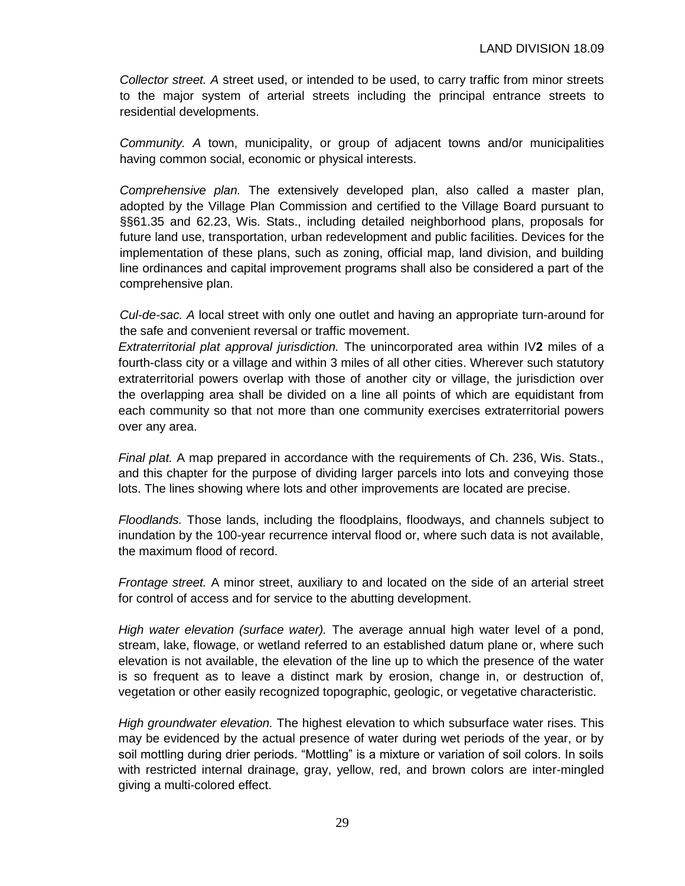*Collector street. A* street used, or intended to be used, to carry traffic from minor streets to the major system of arterial streets including the principal entrance streets to residential developments.

*Community. A* town, municipality, or group of adjacent towns and/or municipalities having common social, economic or physical interests.

*Comprehensive plan.* The extensively developed plan, also called a master plan, adopted by the Village Plan Commission and certified to the Village Board pursuant to §§61.35 and 62.23, Wis. Stats., including detailed neighborhood plans, proposals for future land use, transportation, urban redevelopment and public facilities. Devices for the implementation of these plans, such as zoning, official map, land division, and building line ordinances and capital improvement programs shall also be considered a part of the comprehensive plan.

*Cul-de-sac. A* local street with only one outlet and having an appropriate turn-around for the safe and convenient reversal or traffic movement.

*Extraterritorial plat approval jurisdiction.* The unincorporated area within IV**2** miles of a fourth-class city or a village and within 3 miles of all other cities. Wherever such statutory extraterritorial powers overlap with those of another city or village, the jurisdiction over the overlapping area shall be divided on a line all points of which are equidistant from each community so that not more than one community exercises extraterritorial powers over any area.

*Final plat.* A map prepared in accordance with the requirements of Ch. 236, Wis. Stats., and this chapter for the purpose of dividing larger parcels into lots and conveying those lots. The lines showing where lots and other improvements are located are precise.

*Floodlands.* Those lands, including the floodplains, floodways, and channels subject to inundation by the 100-year recurrence interval flood or, where such data is not available, the maximum flood of record.

*Frontage street.* A minor street, auxiliary to and located on the side of an arterial street for control of access and for service to the abutting development.

*High water elevation (surface water).* The average annual high water level of a pond, stream, lake, flowage, or wetland referred to an established datum plane or, where such elevation is not available, the elevation of the line up to which the presence of the water is so frequent as to leave a distinct mark by erosion, change in, or destruction of, vegetation or other easily recognized topographic, geologic, or vegetative characteristic.

*High groundwater elevation.* The highest elevation to which subsurface water rises. This may be evidenced by the actual presence of water during wet periods of the year, or by soil mottling during drier periods. "Mottling" is a mixture or variation of soil colors. In soils with restricted internal drainage, gray, yellow, red, and brown colors are inter-mingled giving a multi-colored effect.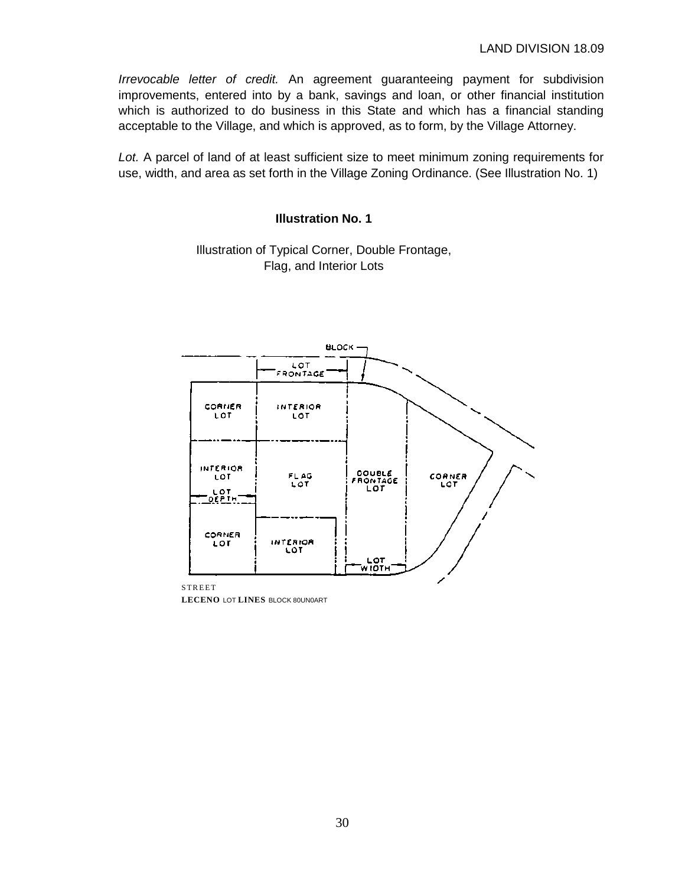*Irrevocable letter of credit.* An agreement guaranteeing payment for subdivision improvements, entered into by a bank, savings and loan, or other financial institution which is authorized to do business in this State and which has a financial standing acceptable to the Village, and which is approved, as to form, by the Village Attorney.

*Lot.* A parcel of land of at least sufficient size to meet minimum zoning requirements for use, width, and area as set forth in the Village Zoning Ordinance. (See Illustration No. 1)

## **Illustration No. 1**

Illustration of Typical Corner, Double Frontage, Flag, and Interior Lots



**LECENO** LOT **LINES** BLOCK 80UN0ART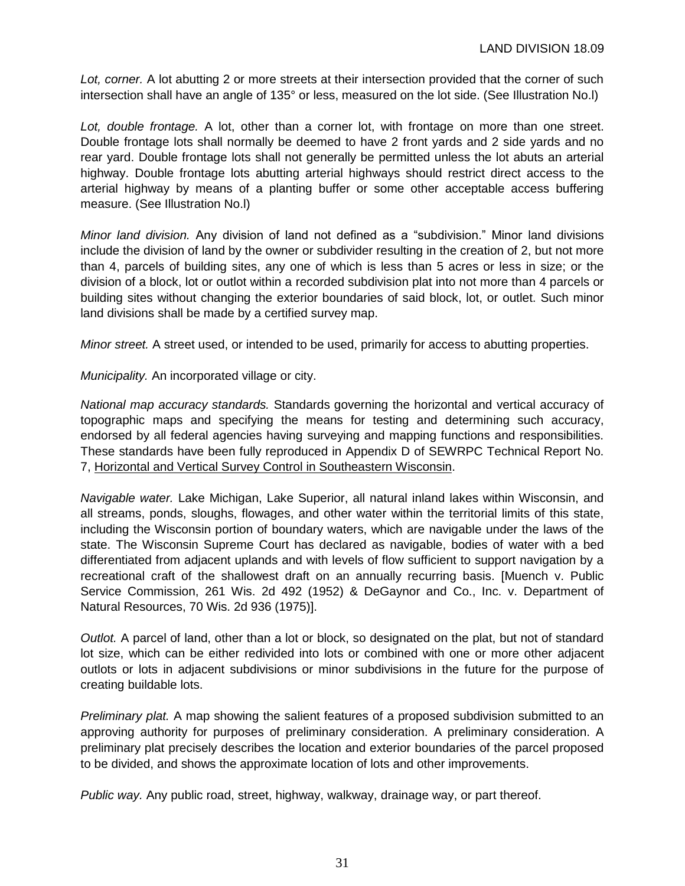*Lot, corner.* A lot abutting 2 or more streets at their intersection provided that the corner of such intersection shall have an angle of 135° or less, measured on the lot side. (See Illustration No.l)

*Lot, double frontage.* A lot, other than a corner lot, with frontage on more than one street. Double frontage lots shall normally be deemed to have 2 front yards and 2 side yards and no rear yard. Double frontage lots shall not generally be permitted unless the lot abuts an arterial highway. Double frontage lots abutting arterial highways should restrict direct access to the arterial highway by means of a planting buffer or some other acceptable access buffering measure. (See Illustration No.l)

*Minor land division.* Any division of land not defined as a "subdivision." Minor land divisions include the division of land by the owner or subdivider resulting in the creation of 2, but not more than 4, parcels of building sites, any one of which is less than 5 acres or less in size; or the division of a block, lot or outlot within a recorded subdivision plat into not more than 4 parcels or building sites without changing the exterior boundaries of said block, lot, or outlet. Such minor land divisions shall be made by a certified survey map.

*Minor street.* A street used, or intended to be used, primarily for access to abutting properties.

*Municipality.* An incorporated village or city.

*National map accuracy standards.* Standards governing the horizontal and vertical accuracy of topographic maps and specifying the means for testing and determining such accuracy, endorsed by all federal agencies having surveying and mapping functions and responsibilities. These standards have been fully reproduced in Appendix D of SEWRPC Technical Report No. 7, Horizontal and Vertical Survey Control in Southeastern Wisconsin.

*Navigable water.* Lake Michigan, Lake Superior, all natural inland lakes within Wisconsin, and all streams, ponds, sloughs, flowages, and other water within the territorial limits of this state, including the Wisconsin portion of boundary waters, which are navigable under the laws of the state. The Wisconsin Supreme Court has declared as navigable, bodies of water with a bed differentiated from adjacent uplands and with levels of flow sufficient to support navigation by a recreational craft of the shallowest draft on an annually recurring basis. [Muench v. Public Service Commission, 261 Wis. 2d 492 (1952) & DeGaynor and Co., Inc. v. Department of Natural Resources, 70 Wis. 2d 936 (1975)].

*Outlot.* A parcel of land, other than a lot or block, so designated on the plat, but not of standard lot size, which can be either redivided into lots or combined with one or more other adjacent outlots or lots in adjacent subdivisions or minor subdivisions in the future for the purpose of creating buildable lots.

*Preliminary plat.* A map showing the salient features of a proposed subdivision submitted to an approving authority for purposes of preliminary consideration. A preliminary consideration. A preliminary plat precisely describes the location and exterior boundaries of the parcel proposed to be divided, and shows the approximate location of lots and other improvements.

*Public way.* Any public road, street, highway, walkway, drainage way, or part thereof.